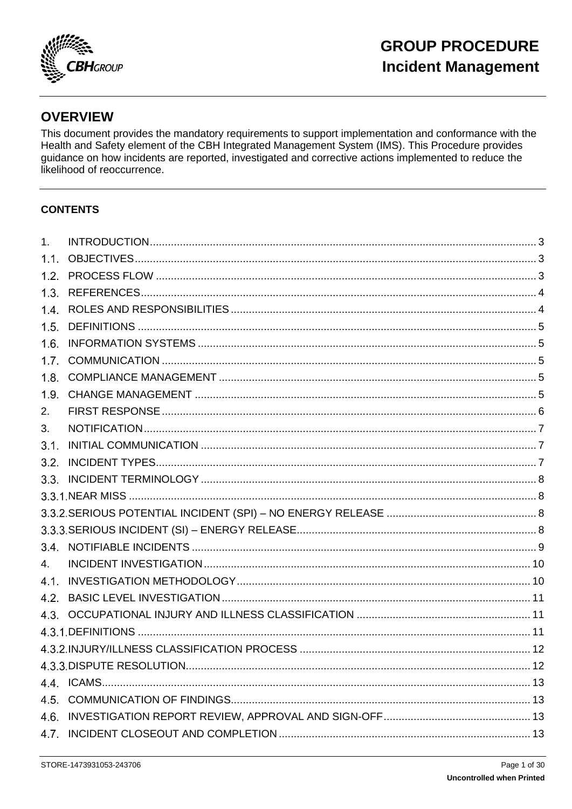

## **OVERVIEW**

This document provides the mandatory requirements to support implementation and conformance with the Health and Safety element of the CBH Integrated Management System (IMS). This Procedure provides guidance on how incidents are reported, investigated and corrective actions implemented to reduce the likelihood of reoccurrence.

### **CONTENTS**

| 1 <sub>1</sub> |  |
|----------------|--|
| 1.1.           |  |
| 1.2.           |  |
| 1.3.           |  |
| 1.4.           |  |
| 1.5.           |  |
| 1.6.           |  |
| 1.7.           |  |
| 1.8.           |  |
| 1.9.           |  |
| 2.             |  |
| 3.             |  |
| 3.1.           |  |
| 3.2.           |  |
|                |  |
|                |  |
|                |  |
|                |  |
|                |  |
| 4.             |  |
| 4.1.           |  |
| 4.2.           |  |
|                |  |
|                |  |
|                |  |
|                |  |
|                |  |
| 4.5.           |  |
| 4.6.           |  |
|                |  |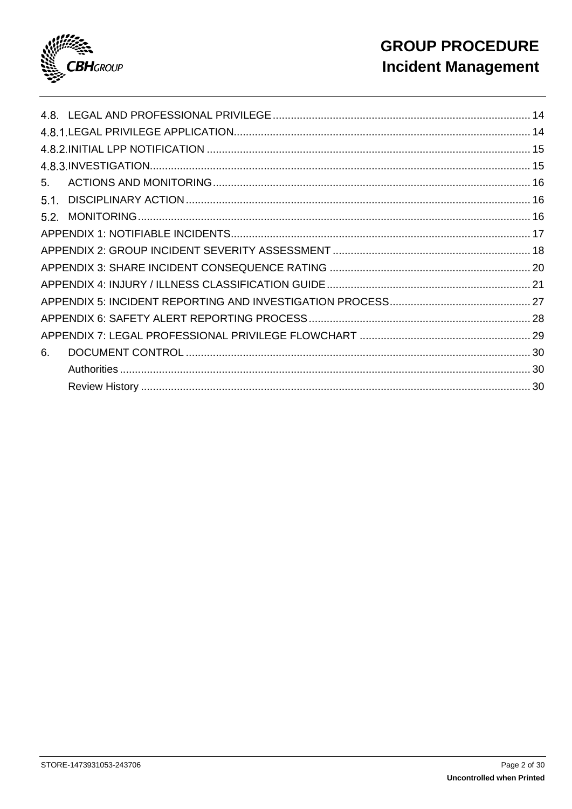

| 5.   |  |
|------|--|
| 5.1. |  |
|      |  |
|      |  |
|      |  |
|      |  |
|      |  |
|      |  |
|      |  |
|      |  |
| 6.   |  |
|      |  |
|      |  |
|      |  |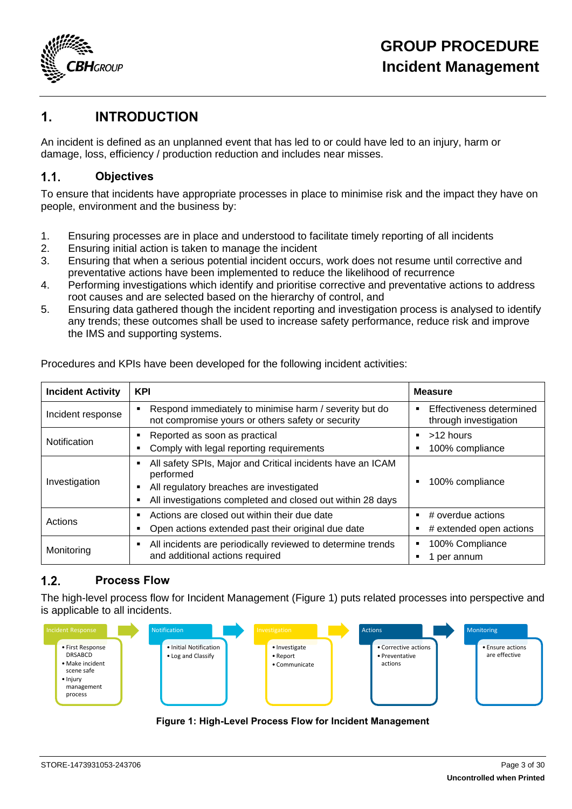

### <span id="page-2-0"></span>**1. INTRODUCTION**

An incident is defined as an unplanned event that has led to or could have led to an injury, harm or damage, loss, efficiency / production reduction and includes near misses.

#### <span id="page-2-1"></span> $1.1.$ **Objectives**

To ensure that incidents have appropriate processes in place to minimise risk and the impact they have on people, environment and the business by:

- 1. Ensuring processes are in place and understood to facilitate timely reporting of all incidents
- 2. Ensuring initial action is taken to manage the incident
- 3. Ensuring that when a serious potential incident occurs, work does not resume until corrective and preventative actions have been implemented to reduce the likelihood of recurrence
- 4. Performing investigations which identify and prioritise corrective and preventative actions to address root causes and are selected based on the hierarchy of control, and
- 5. Ensuring data gathered though the incident reporting and investigation process is analysed to identify any trends; these outcomes shall be used to increase safety performance, reduce risk and improve the IMS and supporting systems.

| <b>Incident Activity</b> | <b>KPI</b>                                                                                                                                                                                       | <b>Measure</b>                               |
|--------------------------|--------------------------------------------------------------------------------------------------------------------------------------------------------------------------------------------------|----------------------------------------------|
| Incident response        | Respond immediately to minimise harm / severity but do<br>п<br>not compromise yours or others safety or security                                                                                 |                                              |
| Notification             | Reported as soon as practical<br>п<br>Comply with legal reporting requirements<br>г                                                                                                              | >12 hours<br>100% compliance                 |
| Investigation            | All safety SPIs, Major and Critical incidents have an ICAM<br>Е<br>performed<br>All regulatory breaches are investigated<br>п<br>All investigations completed and closed out within 28 days<br>п | 100% compliance                              |
| Actions                  | Actions are closed out within their due date<br>п<br>Open actions extended past their original due date<br>ш                                                                                     | # overdue actions<br># extended open actions |
| Monitoring               | All incidents are periodically reviewed to determine trends<br>п<br>and additional actions required                                                                                              | 100% Compliance<br>per annum                 |

Procedures and KPIs have been developed for the following incident activities:

#### <span id="page-2-2"></span> $12$ **Process Flow**

The high-level process flow for Incident Management [\(Figure 1\)](#page-2-3) puts related processes into perspective and is applicable to all incidents.

<span id="page-2-3"></span>

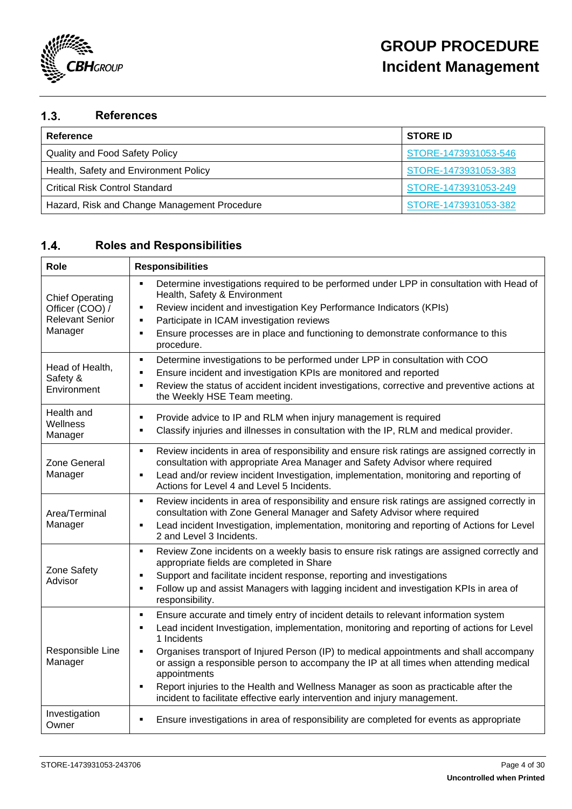

#### <span id="page-3-0"></span> $1.3.$ **References**

| Reference                                    | <b>STORE ID</b>      |
|----------------------------------------------|----------------------|
| <b>Quality and Food Safety Policy</b>        | STORE-1473931053-546 |
| Health, Safety and Environment Policy        | STORE-1473931053-383 |
| <b>Critical Risk Control Standard</b>        | STORE-1473931053-249 |
| Hazard, Risk and Change Management Procedure | STORE-1473931053-382 |

#### <span id="page-3-1"></span> $1.4.$ **Roles and Responsibilities**

| Role                                                                           | <b>Responsibilities</b>                                                                                                                                                                                                                                                                                                                                                                                                                                                                                                                                                                               |  |  |
|--------------------------------------------------------------------------------|-------------------------------------------------------------------------------------------------------------------------------------------------------------------------------------------------------------------------------------------------------------------------------------------------------------------------------------------------------------------------------------------------------------------------------------------------------------------------------------------------------------------------------------------------------------------------------------------------------|--|--|
| <b>Chief Operating</b><br>Officer (COO) /<br><b>Relevant Senior</b><br>Manager | Determine investigations required to be performed under LPP in consultation with Head of<br>Health, Safety & Environment<br>Review incident and investigation Key Performance Indicators (KPIs)<br>٠<br>Participate in ICAM investigation reviews<br>٠<br>Ensure processes are in place and functioning to demonstrate conformance to this<br>٠<br>procedure.                                                                                                                                                                                                                                         |  |  |
| Head of Health,<br>Safety &<br>Environment                                     | Determine investigations to be performed under LPP in consultation with COO<br>٠<br>Ensure incident and investigation KPIs are monitored and reported<br>٠<br>Review the status of accident incident investigations, corrective and preventive actions at<br>٠<br>the Weekly HSE Team meeting.                                                                                                                                                                                                                                                                                                        |  |  |
| Health and<br>Wellness<br>Manager                                              | Provide advice to IP and RLM when injury management is required<br>٠<br>Classify injuries and illnesses in consultation with the IP, RLM and medical provider.<br>٠                                                                                                                                                                                                                                                                                                                                                                                                                                   |  |  |
| Zone General<br>Manager                                                        | Review incidents in area of responsibility and ensure risk ratings are assigned correctly in<br>٠<br>consultation with appropriate Area Manager and Safety Advisor where required<br>Lead and/or review incident Investigation, implementation, monitoring and reporting of<br>$\blacksquare$<br>Actions for Level 4 and Level 5 Incidents.                                                                                                                                                                                                                                                           |  |  |
| Area/Terminal<br>Manager                                                       | Review incidents in area of responsibility and ensure risk ratings are assigned correctly in<br>٠<br>consultation with Zone General Manager and Safety Advisor where required<br>Lead incident Investigation, implementation, monitoring and reporting of Actions for Level<br>٠<br>2 and Level 3 Incidents.                                                                                                                                                                                                                                                                                          |  |  |
| Zone Safety<br>Advisor                                                         | Review Zone incidents on a weekly basis to ensure risk ratings are assigned correctly and<br>٠<br>appropriate fields are completed in Share<br>Support and facilitate incident response, reporting and investigations<br>٠<br>Follow up and assist Managers with lagging incident and investigation KPIs in area of<br>٠<br>responsibility.                                                                                                                                                                                                                                                           |  |  |
| Responsible Line<br>Manager                                                    | Ensure accurate and timely entry of incident details to relevant information system<br>٠<br>Lead incident Investigation, implementation, monitoring and reporting of actions for Level<br>٠<br>1 Incidents<br>Organises transport of Injured Person (IP) to medical appointments and shall accompany<br>$\blacksquare$<br>or assign a responsible person to accompany the IP at all times when attending medical<br>appointments<br>Report injuries to the Health and Wellness Manager as soon as practicable after the<br>incident to facilitate effective early intervention and injury management. |  |  |
| Investigation<br>Owner                                                         | Ensure investigations in area of responsibility are completed for events as appropriate<br>$\blacksquare$                                                                                                                                                                                                                                                                                                                                                                                                                                                                                             |  |  |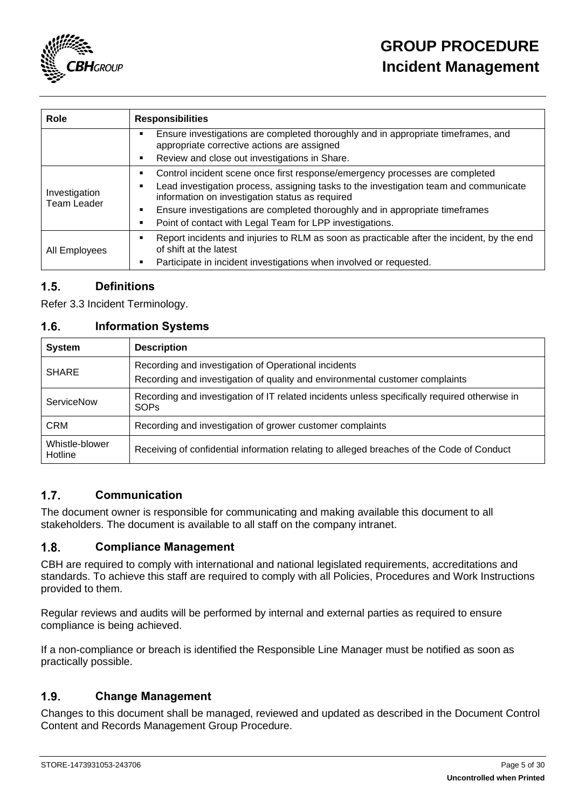

| Role                         | <b>Responsibilities</b>                                                                                                                                                                                                                                                                                                                                              |  |  |
|------------------------------|----------------------------------------------------------------------------------------------------------------------------------------------------------------------------------------------------------------------------------------------------------------------------------------------------------------------------------------------------------------------|--|--|
|                              | Ensure investigations are completed thoroughly and in appropriate timeframes, and<br>appropriate corrective actions are assigned                                                                                                                                                                                                                                     |  |  |
|                              | Review and close out investigations in Share.                                                                                                                                                                                                                                                                                                                        |  |  |
| Investigation<br>Team Leader | Control incident scene once first response/emergency processes are completed<br>Lead investigation process, assigning tasks to the investigation team and communicate<br>information on investigation status as required<br>Ensure investigations are completed thoroughly and in appropriate timeframes<br>Point of contact with Legal Team for LPP investigations. |  |  |
| All Employees                | Report incidents and injuries to RLM as soon as practicable after the incident, by the end<br>of shift at the latest<br>Participate in incident investigations when involved or requested.                                                                                                                                                                           |  |  |

#### <span id="page-4-0"></span> $1.5.$ **Definitions**

Refer [3.3](#page-7-0) [Incident Terminology.](#page-7-0)

#### <span id="page-4-1"></span> $1.6.$ **Information Systems**

| <b>System</b>                                                                                                                                        | <b>Description</b>                                                                                           |  |
|------------------------------------------------------------------------------------------------------------------------------------------------------|--------------------------------------------------------------------------------------------------------------|--|
| Recording and investigation of Operational incidents<br><b>SHARE</b><br>Recording and investigation of quality and environmental customer complaints |                                                                                                              |  |
| ServiceNow                                                                                                                                           | Recording and investigation of IT related incidents unless specifically required otherwise in<br><b>SOPs</b> |  |
| <b>CRM</b>                                                                                                                                           | Recording and investigation of grower customer complaints                                                    |  |
| Whistle-blower<br>Hotline                                                                                                                            | Receiving of confidential information relating to alleged breaches of the Code of Conduct                    |  |

#### <span id="page-4-2"></span> $1.7.$ **Communication**

The document owner is responsible for communicating and making available this document to all stakeholders. The document is available to all staff on the company intranet.

#### <span id="page-4-3"></span> $1.8.$ **Compliance Management**

CBH are required to comply with international and national legislated requirements, accreditations and standards. To achieve this staff are required to comply with all Policies, Procedures and Work Instructions provided to them.

Regular reviews and audits will be performed by internal and external parties as required to ensure compliance is being achieved.

If a non-compliance or breach is identified the Responsible Line Manager must be notified as soon as practically possible.

#### <span id="page-4-4"></span> $1.9.$ **Change Management**

Changes to this document shall be managed, reviewed and updated as described in the Document Control Content and Records Management Group Procedure.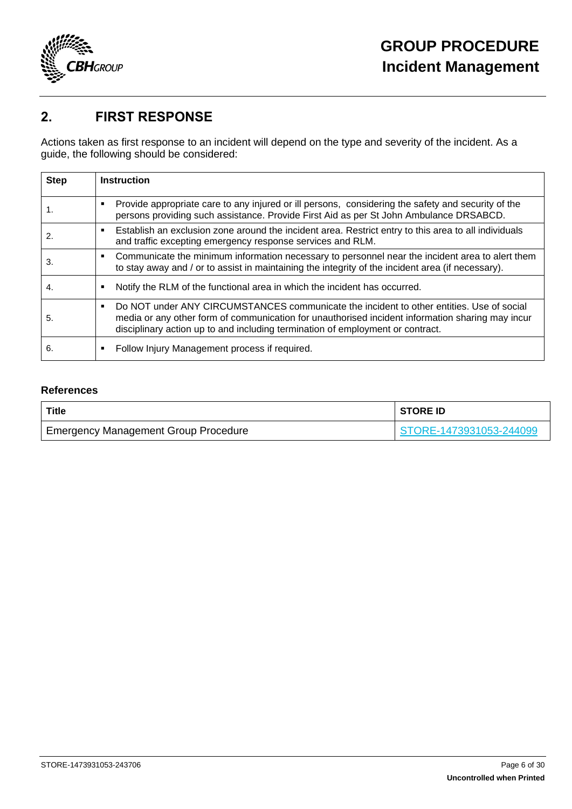

## <span id="page-5-0"></span>**2. FIRST RESPONSE**

Actions taken as first response to an incident will depend on the type and severity of the incident. As a guide, the following should be considered:

| <b>Step</b> | <b>Instruction</b>                                                                                                                                                                                                                                                                               |
|-------------|--------------------------------------------------------------------------------------------------------------------------------------------------------------------------------------------------------------------------------------------------------------------------------------------------|
| 1.          | Provide appropriate care to any injured or ill persons, considering the safety and security of the<br>٠<br>persons providing such assistance. Provide First Aid as per St John Ambulance DRSABCD.                                                                                                |
| 2.          | Establish an exclusion zone around the incident area. Restrict entry to this area to all individuals<br>٠<br>and traffic excepting emergency response services and RLM.                                                                                                                          |
| 3.          | Communicate the minimum information necessary to personnel near the incident area to alert them<br>٠<br>to stay away and / or to assist in maintaining the integrity of the incident area (if necessary).                                                                                        |
| 4.          | Notify the RLM of the functional area in which the incident has occurred.<br>٠                                                                                                                                                                                                                   |
| 5.          | Do NOT under ANY CIRCUMSTANCES communicate the incident to other entities. Use of social<br>$\blacksquare$<br>media or any other form of communication for unauthorised incident information sharing may incur<br>disciplinary action up to and including termination of employment or contract. |
| 6.          | Follow Injury Management process if required.<br>٠                                                                                                                                                                                                                                               |

### **References**

| Title                                       | <b>STORE ID</b>         |
|---------------------------------------------|-------------------------|
| <b>Emergency Management Group Procedure</b> | STORE-1473931053-244099 |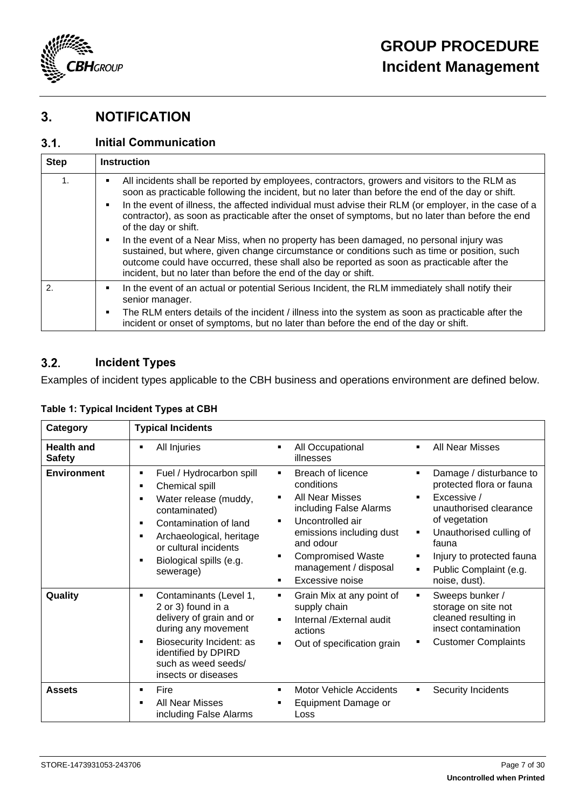

## <span id="page-6-0"></span>**3. NOTIFICATION**

#### <span id="page-6-1"></span> $3.1.$ **Initial Communication**

| <b>Step</b>  | <b>Instruction</b>                                                                                                                                                                                                                                                                                                                                                        |  |  |
|--------------|---------------------------------------------------------------------------------------------------------------------------------------------------------------------------------------------------------------------------------------------------------------------------------------------------------------------------------------------------------------------------|--|--|
| 1.           | All incidents shall be reported by employees, contractors, growers and visitors to the RLM as<br>soon as practicable following the incident, but no later than before the end of the day or shift.                                                                                                                                                                        |  |  |
|              | In the event of illness, the affected individual must advise their RLM (or employer, in the case of a<br>contractor), as soon as practicable after the onset of symptoms, but no later than before the end<br>of the day or shift.                                                                                                                                        |  |  |
|              | In the event of a Near Miss, when no property has been damaged, no personal injury was<br>$\blacksquare$<br>sustained, but where, given change circumstance or conditions such as time or position, such<br>outcome could have occurred, these shall also be reported as soon as practicable after the<br>incident, but no later than before the end of the day or shift. |  |  |
| $\mathbf{2}$ | In the event of an actual or potential Serious Incident, the RLM immediately shall notify their<br>senior manager.                                                                                                                                                                                                                                                        |  |  |
|              | The RLM enters details of the incident / illness into the system as soon as practicable after the<br>incident or onset of symptoms, but no later than before the end of the day or shift.                                                                                                                                                                                 |  |  |

#### <span id="page-6-2"></span> $3.2.$ **Incident Types**

Examples of incident types applicable to the CBH business and operations environment are defined below.

| Category                           | <b>Typical Incidents</b>                                                                                                                                                                                        |                                                                                                                                                                                                                                                                                                                                                                                                                                                                                                                         |
|------------------------------------|-----------------------------------------------------------------------------------------------------------------------------------------------------------------------------------------------------------------|-------------------------------------------------------------------------------------------------------------------------------------------------------------------------------------------------------------------------------------------------------------------------------------------------------------------------------------------------------------------------------------------------------------------------------------------------------------------------------------------------------------------------|
| <b>Health and</b><br><b>Safety</b> | All Injuries<br>٠                                                                                                                                                                                               | <b>All Near Misses</b><br>All Occupational<br>٠<br>$\blacksquare$<br>illnesses                                                                                                                                                                                                                                                                                                                                                                                                                                          |
| <b>Environment</b>                 | Fuel / Hydrocarbon spill<br>٠<br>Chemical spill<br>Water release (muddy,<br>contaminated)<br>Contamination of land<br>Archaeological, heritage<br>or cultural incidents<br>Biological spills (e.g.<br>sewerage) | Breach of licence<br>Damage / disturbance to<br>٠<br>٠<br>protected flora or fauna<br>conditions<br><b>All Near Misses</b><br>Excessive /<br>٠<br>unauthorised clearance<br>including False Alarms<br>of vegetation<br>Uncontrolled air<br>$\blacksquare$<br>emissions including dust<br>Unauthorised culling of<br>$\blacksquare$<br>and odour<br>fauna<br><b>Compromised Waste</b><br>Injury to protected fauna<br>٠<br>management / disposal<br>Public Complaint (e.g.<br>٠<br>Excessive noise<br>noise, dust).<br>٠ |
| Quality                            | Contaminants (Level 1,<br>٠<br>2 or 3) found in a<br>delivery of grain and or<br>during any movement<br>Biosecurity Incident: as<br>identified by DPIRD<br>such as weed seeds/<br>insects or diseases           | Grain Mix at any point of<br>Sweeps bunker /<br>٠<br>$\blacksquare$<br>supply chain<br>storage on site not<br>cleaned resulting in<br>Internal /External audit<br>$\blacksquare$<br>insect contamination<br>actions<br><b>Customer Complaints</b><br>Out of specification grain<br>٠                                                                                                                                                                                                                                    |
| <b>Assets</b>                      | Fire<br><b>All Near Misses</b><br>including False Alarms                                                                                                                                                        | Motor Vehicle Accidents<br>Security Incidents<br>٠<br>Equipment Damage or<br>Loss                                                                                                                                                                                                                                                                                                                                                                                                                                       |

### **Table 1: Typical Incident Types at CBH**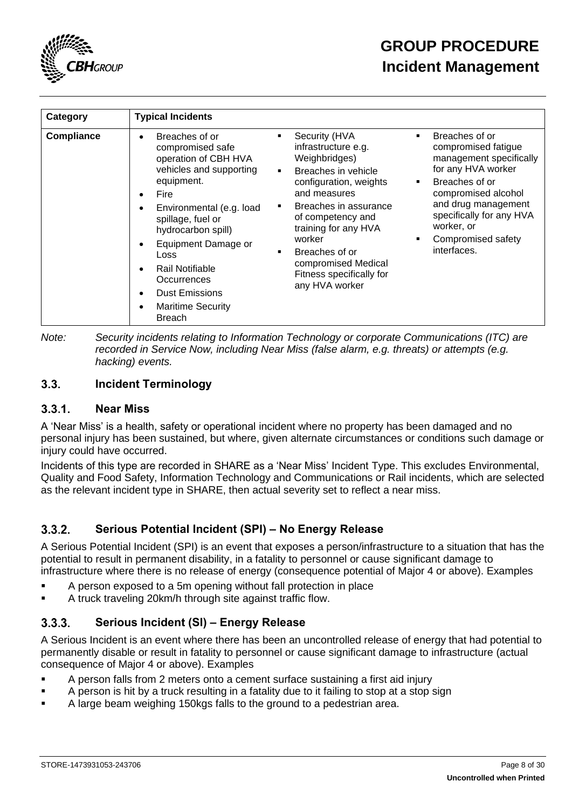

| Category          | <b>Typical Incidents</b>                                                                                                                                                                                                                                                                                                  |                                                                                                                                                                                                                                                                                                                                                                            |                                                                                                                                                                                                                                       |
|-------------------|---------------------------------------------------------------------------------------------------------------------------------------------------------------------------------------------------------------------------------------------------------------------------------------------------------------------------|----------------------------------------------------------------------------------------------------------------------------------------------------------------------------------------------------------------------------------------------------------------------------------------------------------------------------------------------------------------------------|---------------------------------------------------------------------------------------------------------------------------------------------------------------------------------------------------------------------------------------|
| <b>Compliance</b> | Breaches of or<br>compromised safe<br>operation of CBH HVA<br>vehicles and supporting<br>equipment.<br>Fire<br>Environmental (e.g. load<br>spillage, fuel or<br>hydrocarbon spill)<br>Equipment Damage or<br>Loss<br>Rail Notifiable<br>Occurrences<br><b>Dust Emissions</b><br><b>Maritime Security</b><br><b>Breach</b> | Security (HVA<br>$\blacksquare$<br>٠<br>infrastructure e.g.<br>Weighbridges)<br>Breaches in vehicle<br>$\blacksquare$<br>configuration, weights<br>$\blacksquare$<br>and measures<br>Breaches in assurance<br>$\blacksquare$<br>of competency and<br>training for any HVA<br>worker<br>Breaches of or<br>compromised Medical<br>Fitness specifically for<br>any HVA worker | Breaches of or<br>compromised fatigue<br>management specifically<br>for any HVA worker<br>Breaches of or<br>compromised alcohol<br>and drug management<br>specifically for any HVA<br>worker, or<br>Compromised safety<br>interfaces. |

*Note: Security incidents relating to Information Technology or corporate Communications (ITC) are recorded in Service Now, including Near Miss (false alarm, e.g. threats) or attempts (e.g. hacking) events.*

#### <span id="page-7-0"></span> $3.3.$ **Incident Terminology**

#### <span id="page-7-1"></span> $3.3.1$ **Near Miss**

A 'Near Miss' is a health, safety or operational incident where no property has been damaged and no personal injury has been sustained, but where, given alternate circumstances or conditions such damage or injury could have occurred.

Incidents of this type are recorded in SHARE as a 'Near Miss' Incident Type. This excludes Environmental, Quality and Food Safety, Information Technology and Communications or Rail incidents, which are selected as the relevant incident type in SHARE, then actual severity set to reflect a near miss.

#### <span id="page-7-2"></span> $3.3.2.$ **Serious Potential Incident (SPI) – No Energy Release**

A Serious Potential Incident (SPI) is an event that exposes a person/infrastructure to a situation that has the potential to result in permanent disability, in a fatality to personnel or cause significant damage to infrastructure where there is no release of energy (consequence potential of Major 4 or above). Examples

- A person exposed to a 5m opening without fall protection in place
- A truck traveling 20km/h through site against traffic flow.

#### <span id="page-7-3"></span> $3.3.3.$ **Serious Incident (SI) – Energy Release**

A Serious Incident is an event where there has been an uncontrolled release of energy that had potential to permanently disable or result in fatality to personnel or cause significant damage to infrastructure (actual consequence of Major 4 or above). Examples

- A person falls from 2 meters onto a cement surface sustaining a first aid injury
- A person is hit by a truck resulting in a fatality due to it failing to stop at a stop sign
- A large beam weighing 150kgs falls to the ground to a pedestrian area.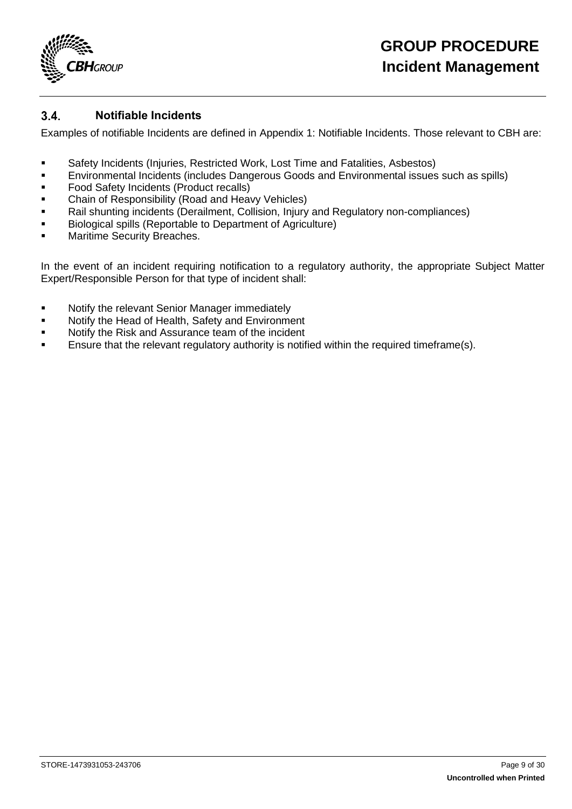

#### <span id="page-8-0"></span> $3.4$ **Notifiable Incidents**

Examples of notifiable Incidents are defined in [Appendix 1: Notifiable Incidents.](#page-16-0) Those relevant to CBH are:

- Safety Incidents (Injuries, Restricted Work, Lost Time and Fatalities, Asbestos)
- **Environmental Incidents (includes Dangerous Goods and Environmental issues such as spills)**
- **•** Food Safety Incidents (Product recalls)
- **EXED:** Chain of Responsibility (Road and Heavy Vehicles)
- Rail shunting incidents (Derailment, Collision, Injury and Regulatory non-compliances)
- Biological spills (Reportable to Department of Agriculture)
- Maritime Security Breaches.

In the event of an incident requiring notification to a regulatory authority, the appropriate Subject Matter Expert/Responsible Person for that type of incident shall:

- **■** Notify the relevant Senior Manager immediately
- Notify the Head of Health, Safety and Environment
- Notify the Risk and Assurance team of the incident
- Ensure that the relevant regulatory authority is notified within the required timeframe(s).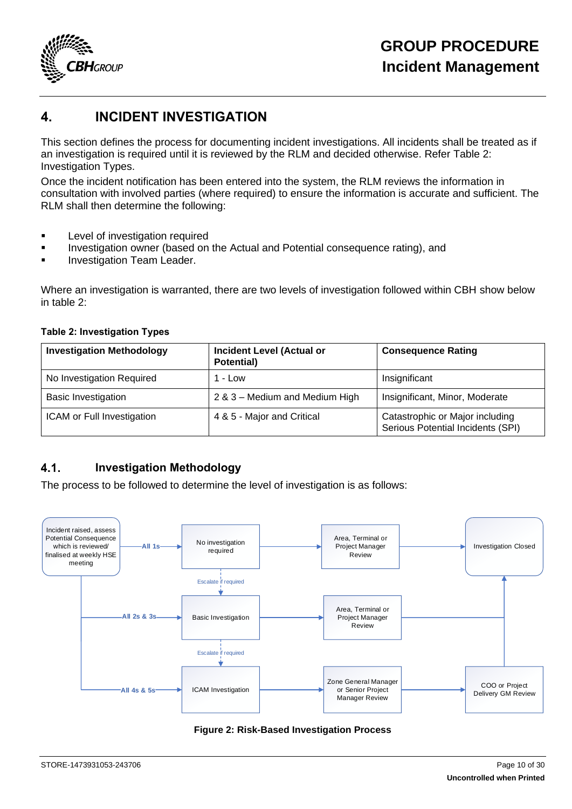

## <span id="page-9-0"></span>**4. INCIDENT INVESTIGATION**

This section defines the process for documenting incident investigations. All incidents shall be treated as if an investigation is required until it is reviewed by the RLM and decided otherwise. Refer [Table 2:](#page-9-2)  [Investigation Types.](#page-9-2)

Once the incident notification has been entered into the system, the RLM reviews the information in consultation with involved parties (where required) to ensure the information is accurate and sufficient. The RLM shall then determine the following:

- **EXECTE:** Level of investigation required
- Investigation owner (based on the Actual and Potential consequence rating), and
- **Investigation Team Leader.**

Where an investigation is warranted, there are two levels of investigation followed within CBH show below in table 2:

### <span id="page-9-2"></span>**Table 2: Investigation Types**

| <b>Investigation Methodology</b> | <b>Incident Level (Actual or</b><br>Potential) | <b>Consequence Rating</b>                                            |
|----------------------------------|------------------------------------------------|----------------------------------------------------------------------|
| No Investigation Required        | 1 - Low                                        | Insignificant                                                        |
| <b>Basic Investigation</b>       | 2 & 3 - Medium and Medium High                 | Insignificant, Minor, Moderate                                       |
| ICAM or Full Investigation       | 4 & 5 - Major and Critical                     | Catastrophic or Major including<br>Serious Potential Incidents (SPI) |

#### <span id="page-9-1"></span> $4.1.$ **Investigation Methodology**

The process to be followed to determine the level of investigation is as follows:



### **Figure 2: Risk-Based Investigation Process**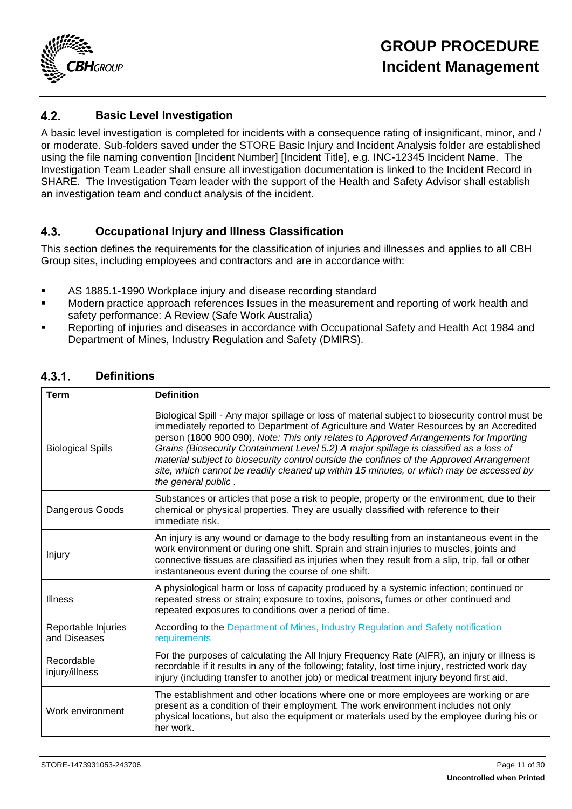

#### <span id="page-10-0"></span> $4.2.$ **Basic Level Investigation**

A basic level investigation is completed for incidents with a consequence rating of insignificant, minor, and / or moderate. Sub-folders saved under the STORE Basic Injury and Incident Analysis folder are established using the file naming convention [Incident Number] [Incident Title], e.g. INC-12345 Incident Name. The Investigation Team Leader shall ensure all investigation documentation is linked to the Incident Record in SHARE. The Investigation Team leader with the support of the Health and Safety Advisor shall establish an investigation team and conduct analysis of the incident.

#### <span id="page-10-1"></span> $4.3$ **Occupational Injury and Illness Classification**

This section defines the requirements for the classification of injuries and illnesses and applies to all CBH Group sites, including employees and contractors and are in accordance with:

- AS 1885.1-1990 Workplace injury and disease recording standard
- Modern practice approach references Issues in the measurement and reporting of work health and safety performance: A Review (Safe Work Australia)
- Reporting of injuries and diseases in accordance with Occupational Safety and Health Act 1984 and Department of Mines, Industry Regulation and Safety (DMIRS).

| <b>Term</b>                         | <b>Definition</b>                                                                                                                                                                                                                                                                                                                                                                                                                                                                                                                                                                           |
|-------------------------------------|---------------------------------------------------------------------------------------------------------------------------------------------------------------------------------------------------------------------------------------------------------------------------------------------------------------------------------------------------------------------------------------------------------------------------------------------------------------------------------------------------------------------------------------------------------------------------------------------|
| <b>Biological Spills</b>            | Biological Spill - Any major spillage or loss of material subject to biosecurity control must be<br>immediately reported to Department of Agriculture and Water Resources by an Accredited<br>person (1800 900 090). Note: This only relates to Approved Arrangements for Importing<br>Grains (Biosecurity Containment Level 5.2) A major spillage is classified as a loss of<br>material subject to biosecurity control outside the confines of the Approved Arrangement<br>site, which cannot be readily cleaned up within 15 minutes, or which may be accessed by<br>the general public. |
| Dangerous Goods                     | Substances or articles that pose a risk to people, property or the environment, due to their<br>chemical or physical properties. They are usually classified with reference to their<br>immediate risk.                                                                                                                                                                                                                                                                                                                                                                                     |
| Injury                              | An injury is any wound or damage to the body resulting from an instantaneous event in the<br>work environment or during one shift. Sprain and strain injuries to muscles, joints and<br>connective tissues are classified as injuries when they result from a slip, trip, fall or other<br>instantaneous event during the course of one shift.                                                                                                                                                                                                                                              |
| <b>Illness</b>                      | A physiological harm or loss of capacity produced by a systemic infection; continued or<br>repeated stress or strain; exposure to toxins, poisons, fumes or other continued and<br>repeated exposures to conditions over a period of time.                                                                                                                                                                                                                                                                                                                                                  |
| Reportable Injuries<br>and Diseases | According to the Department of Mines, Industry Regulation and Safety notification<br>requirements                                                                                                                                                                                                                                                                                                                                                                                                                                                                                           |
| Recordable<br>injury/illness        | For the purposes of calculating the All Injury Frequency Rate (AIFR), an injury or illness is<br>recordable if it results in any of the following; fatality, lost time injury, restricted work day<br>injury (including transfer to another job) or medical treatment injury beyond first aid.                                                                                                                                                                                                                                                                                              |
| Work environment                    | The establishment and other locations where one or more employees are working or are<br>present as a condition of their employment. The work environment includes not only<br>physical locations, but also the equipment or materials used by the employee during his or<br>her work.                                                                                                                                                                                                                                                                                                       |

#### <span id="page-10-2"></span> $4.3.1.$ **Definitions**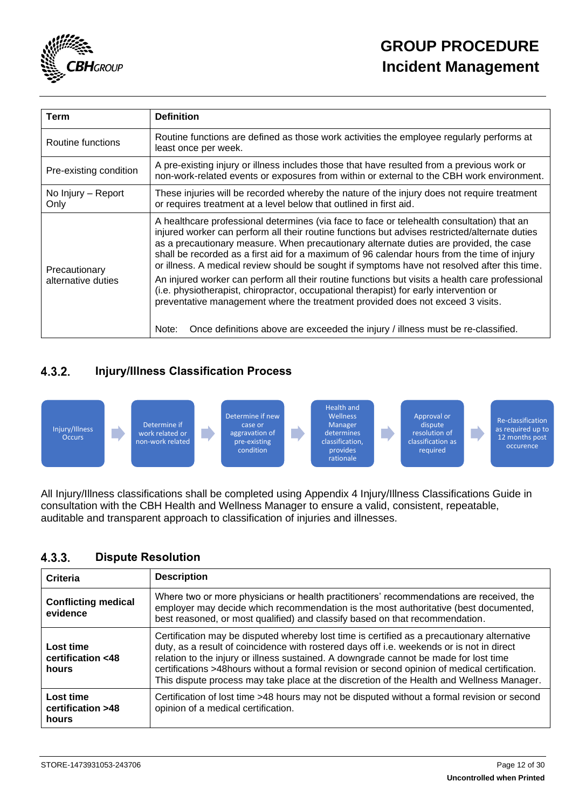

| Term                                | <b>Definition</b>                                                                                                                                                                                                                                                                                                                                                                                                                                                                     |
|-------------------------------------|---------------------------------------------------------------------------------------------------------------------------------------------------------------------------------------------------------------------------------------------------------------------------------------------------------------------------------------------------------------------------------------------------------------------------------------------------------------------------------------|
| Routine functions                   | Routine functions are defined as those work activities the employee regularly performs at<br>least once per week.                                                                                                                                                                                                                                                                                                                                                                     |
| Pre-existing condition              | A pre-existing injury or illness includes those that have resulted from a previous work or<br>non-work-related events or exposures from within or external to the CBH work environment.                                                                                                                                                                                                                                                                                               |
| No Injury – Report<br>Only          | These injuries will be recorded whereby the nature of the injury does not require treatment<br>or requires treatment at a level below that outlined in first aid.                                                                                                                                                                                                                                                                                                                     |
| Precautionary<br>alternative duties | A healthcare professional determines (via face to face or telehealth consultation) that an<br>injured worker can perform all their routine functions but advises restricted/alternate duties<br>as a precautionary measure. When precautionary alternate duties are provided, the case<br>shall be recorded as a first aid for a maximum of 96 calendar hours from the time of injury<br>or illness. A medical review should be sought if symptoms have not resolved after this time. |
|                                     | An injured worker can perform all their routine functions but visits a health care professional<br>(i.e. physiotherapist, chiropractor, occupational therapist) for early intervention or<br>preventative management where the treatment provided does not exceed 3 visits.                                                                                                                                                                                                           |
|                                     | Once definitions above are exceeded the injury / illness must be re-classified.<br>Note:                                                                                                                                                                                                                                                                                                                                                                                              |

#### <span id="page-11-0"></span> $4.3.2.$ **Injury/Illness Classification Process**



All Injury/Illness classifications shall be completed using Appendix 4 Injury/Illness Classifications Guide in consultation with the CBH Health and Wellness Manager to ensure a valid, consistent, repeatable, auditable and transparent approach to classification of injuries and illnesses.

#### <span id="page-11-1"></span> $4.3.3.$ **Dispute Resolution**

| Criteria                                | <b>Description</b>                                                                                                                                                                                                                                                                                                                                                                                                                                                              |
|-----------------------------------------|---------------------------------------------------------------------------------------------------------------------------------------------------------------------------------------------------------------------------------------------------------------------------------------------------------------------------------------------------------------------------------------------------------------------------------------------------------------------------------|
| <b>Conflicting medical</b><br>evidence  | Where two or more physicians or health practitioners' recommendations are received, the<br>employer may decide which recommendation is the most authoritative (best documented,<br>best reasoned, or most qualified) and classify based on that recommendation.                                                                                                                                                                                                                 |
| Lost time<br>certification <48<br>hours | Certification may be disputed whereby lost time is certified as a precautionary alternative<br>duty, as a result of coincidence with rostered days off i.e. weekends or is not in direct<br>relation to the injury or illness sustained. A downgrade cannot be made for lost time<br>certifications >48hours without a formal revision or second opinion of medical certification.<br>This dispute process may take place at the discretion of the Health and Wellness Manager. |
| Lost time<br>certification >48<br>hours | Certification of lost time >48 hours may not be disputed without a formal revision or second<br>opinion of a medical certification.                                                                                                                                                                                                                                                                                                                                             |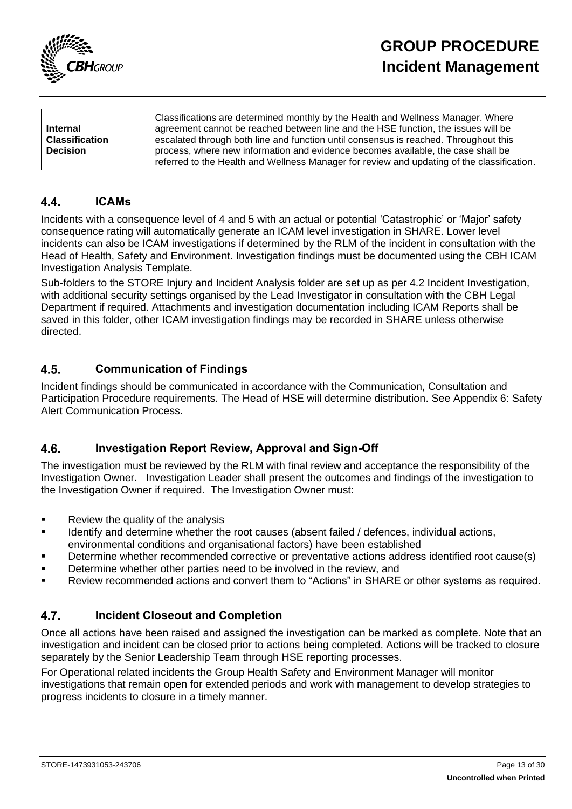

| <b>Internal</b>       | Classifications are determined monthly by the Health and Wellness Manager. Where<br>agreement cannot be reached between line and the HSE function, the issues will be          |
|-----------------------|--------------------------------------------------------------------------------------------------------------------------------------------------------------------------------|
| <b>Classification</b> | escalated through both line and function until consensus is reached. Throughout this                                                                                           |
| <b>Decision</b>       | process, where new information and evidence becomes available, the case shall be<br>referred to the Health and Wellness Manager for review and updating of the classification. |
|                       |                                                                                                                                                                                |

#### <span id="page-12-0"></span> $4.4.$ **ICAMs**

Incidents with a consequence level of 4 and 5 with an actual or potential 'Catastrophic' or 'Major' safety consequence rating will automatically generate an ICAM level investigation in SHARE. Lower level incidents can also be ICAM investigations if determined by the RLM of the incident in consultation with the Head of Health, Safety and Environment. Investigation findings must be documented using the CBH ICAM Investigation Analysis Template.

Sub-folders to the STORE Injury and Incident Analysis folder are set up as per 4.2 Incident Investigation, with additional security settings organised by the Lead Investigator in consultation with the CBH Legal Department if required. Attachments and investigation documentation including ICAM Reports shall be saved in this folder, other ICAM investigation findings may be recorded in SHARE unless otherwise directed.

#### <span id="page-12-1"></span> $4.5.$ **Communication of Findings**

Incident findings should be communicated in accordance with the Communication, Consultation and Participation Procedure requirements. The Head of HSE will determine distribution. See Appendix 6: Safety Alert Communication Process.

#### <span id="page-12-2"></span> $4.6.$ **Investigation Report Review, Approval and Sign-Off**

The investigation must be reviewed by the RLM with final review and acceptance the responsibility of the Investigation Owner. Investigation Leader shall present the outcomes and findings of the investigation to the Investigation Owner if required. The Investigation Owner must:

- Review the quality of the analysis
- Identify and determine whether the root causes (absent failed / defences, individual actions, environmental conditions and organisational factors) have been established
- Determine whether recommended corrective or preventative actions address identified root cause(s)
- Determine whether other parties need to be involved in the review, and
- Review recommended actions and convert them to "Actions" in SHARE or other systems as required.

#### <span id="page-12-3"></span> $4.7.$ **Incident Closeout and Completion**

Once all actions have been raised and assigned the investigation can be marked as complete. Note that an investigation and incident can be closed prior to actions being completed. Actions will be tracked to closure separately by the Senior Leadership Team through HSE reporting processes.

For Operational related incidents the Group Health Safety and Environment Manager will monitor investigations that remain open for extended periods and work with management to develop strategies to progress incidents to closure in a timely manner.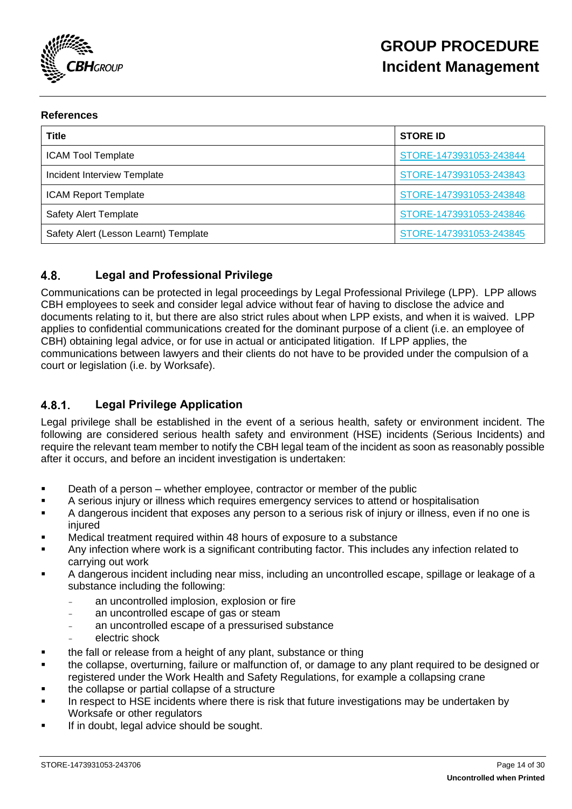

### **References**

| <b>Title</b>                          | <b>STORE ID</b>         |
|---------------------------------------|-------------------------|
| <b>ICAM Tool Template</b>             | STORE-1473931053-243844 |
| Incident Interview Template           | STORE-1473931053-243843 |
| <b>ICAM Report Template</b>           | STORE-1473931053-243848 |
| <b>Safety Alert Template</b>          | STORE-1473931053-243846 |
| Safety Alert (Lesson Learnt) Template | STORE-1473931053-243845 |

#### <span id="page-13-0"></span> $4.8$ **Legal and Professional Privilege**

Communications can be protected in legal proceedings by Legal Professional Privilege (LPP). LPP allows CBH employees to seek and consider legal advice without fear of having to disclose the advice and documents relating to it, but there are also strict rules about when LPP exists, and when it is waived. LPP applies to confidential communications created for the dominant purpose of a client (i.e. an employee of CBH) obtaining legal advice, or for use in actual or anticipated litigation. If LPP applies, the communications between lawyers and their clients do not have to be provided under the compulsion of a court or legislation (i.e. by Worksafe).

#### <span id="page-13-1"></span> $4.8.1$ **Legal Privilege Application**

Legal privilege shall be established in the event of a serious health, safety or environment incident. The following are considered serious health safety and environment (HSE) incidents (Serious Incidents) and require the relevant team member to notify the CBH legal team of the incident as soon as reasonably possible after it occurs, and before an incident investigation is undertaken:

- Death of a person whether employee, contractor or member of the public
- A serious injury or illness which requires emergency services to attend or hospitalisation
- A dangerous incident that exposes any person to a serious risk of injury or illness, even if no one is injured
- Medical treatment required within 48 hours of exposure to a substance
- Any infection where work is a significant contributing factor. This includes any infection related to carrying out work
- A dangerous incident including near miss, including an uncontrolled escape, spillage or leakage of a substance including the following:
	- an uncontrolled implosion, explosion or fire
	- an uncontrolled escape of gas or steam
	- an uncontrolled escape of a pressurised substance
	- electric shock
- the fall or release from a height of any plant, substance or thing
- the collapse, overturning, failure or malfunction of, or damage to any plant required to be designed or registered under the Work Health and Safety Regulations, for example a collapsing crane
- the collapse or partial collapse of a structure
- In respect to HSE incidents where there is risk that future investigations may be undertaken by Worksafe or other regulators
- If in doubt, legal advice should be sought.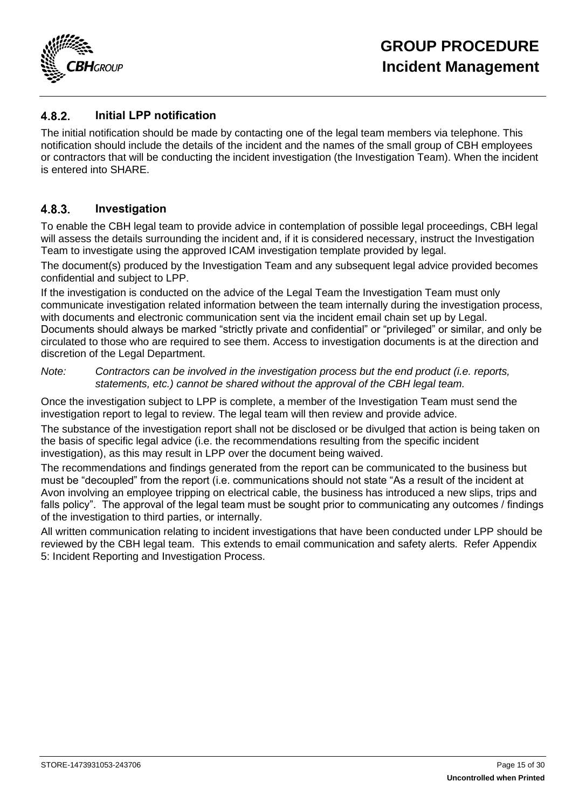

#### <span id="page-14-0"></span>482 **Initial LPP notification**

The initial notification should be made by contacting one of the legal team members via telephone. This notification should include the details of the incident and the names of the small group of CBH employees or contractors that will be conducting the incident investigation (the Investigation Team). When the incident is entered into SHARE.

#### <span id="page-14-1"></span> $4.8.3$ **Investigation**

To enable the CBH legal team to provide advice in contemplation of possible legal proceedings, CBH legal will assess the details surrounding the incident and, if it is considered necessary, instruct the Investigation Team to investigate using the approved ICAM investigation template provided by legal.

The document(s) produced by the Investigation Team and any subsequent legal advice provided becomes confidential and subject to LPP.

If the investigation is conducted on the advice of the Legal Team the Investigation Team must only communicate investigation related information between the team internally during the investigation process, with documents and electronic communication sent via the incident email chain set up by Legal. Documents should always be marked "strictly private and confidential" or "privileged" or similar, and only be circulated to those who are required to see them. Access to investigation documents is at the direction and discretion of the Legal Department.

*Note: Contractors can be involved in the investigation process but the end product (i.e. reports, statements, etc.) cannot be shared without the approval of the CBH legal team.*

Once the investigation subject to LPP is complete, a member of the Investigation Team must send the investigation report to legal to review. The legal team will then review and provide advice.

The substance of the investigation report shall not be disclosed or be divulged that action is being taken on the basis of specific legal advice (i.e. the recommendations resulting from the specific incident investigation), as this may result in LPP over the document being waived.

The recommendations and findings generated from the report can be communicated to the business but must be "decoupled" from the report (i.e. communications should not state "As a result of the incident at Avon involving an employee tripping on electrical cable, the business has introduced a new slips, trips and falls policy". The approval of the legal team must be sought prior to communicating any outcomes / findings of the investigation to third parties, or internally.

All written communication relating to incident investigations that have been conducted under LPP should be reviewed by the CBH legal team. This extends to email communication and safety alerts. Refer [Appendix](#page-26-0)  [5: Incident Reporting and Investigation Process.](#page-26-0)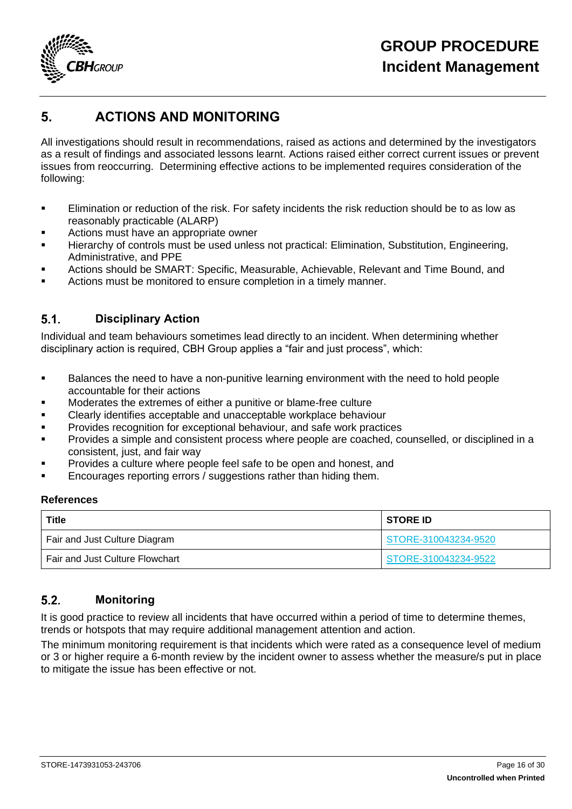

## <span id="page-15-0"></span>**5. ACTIONS AND MONITORING**

All investigations should result in recommendations, raised as actions and determined by the investigators as a result of findings and associated lessons learnt. Actions raised either correct current issues or prevent issues from reoccurring. Determining effective actions to be implemented requires consideration of the following:

- **Elimination or reduction of the risk. For safety incidents the risk reduction should be to as low as** reasonably practicable (ALARP)
- Actions must have an appropriate owner
- Hierarchy of controls must be used unless not practical: Elimination, Substitution, Engineering, Administrative, and PPE
- Actions should be SMART: Specific, Measurable, Achievable, Relevant and Time Bound, and
- Actions must be monitored to ensure completion in a timely manner.

#### <span id="page-15-1"></span> $5.1.$ **Disciplinary Action**

Individual and team behaviours sometimes lead directly to an incident. When determining whether disciplinary action is required, CBH Group applies a "fair and just process", which:

- **■** Balances the need to have a non-punitive learning environment with the need to hold people accountable for their actions
- Moderates the extremes of either a punitive or blame-free culture
- Clearly identifies acceptable and unacceptable workplace behaviour
- **Provides recognition for exceptional behaviour, and safe work practices**
- **•** Provides a simple and consistent process where people are coached, counselled, or disciplined in a consistent, just, and fair way
- Provides a culture where people feel safe to be open and honest, and
- Encourages reporting errors / suggestions rather than hiding them.

### **References**

| <b>Title</b>                    | <b>STORE ID</b>      |
|---------------------------------|----------------------|
| Fair and Just Culture Diagram   | STORE-310043234-9520 |
| Fair and Just Culture Flowchart | STORE-310043234-9522 |

#### <span id="page-15-2"></span> $5.2.$ **Monitoring**

It is good practice to review all incidents that have occurred within a period of time to determine themes, trends or hotspots that may require additional management attention and action.

The minimum monitoring requirement is that incidents which were rated as a consequence level of medium or 3 or higher require a 6-month review by the incident owner to assess whether the measure/s put in place to mitigate the issue has been effective or not.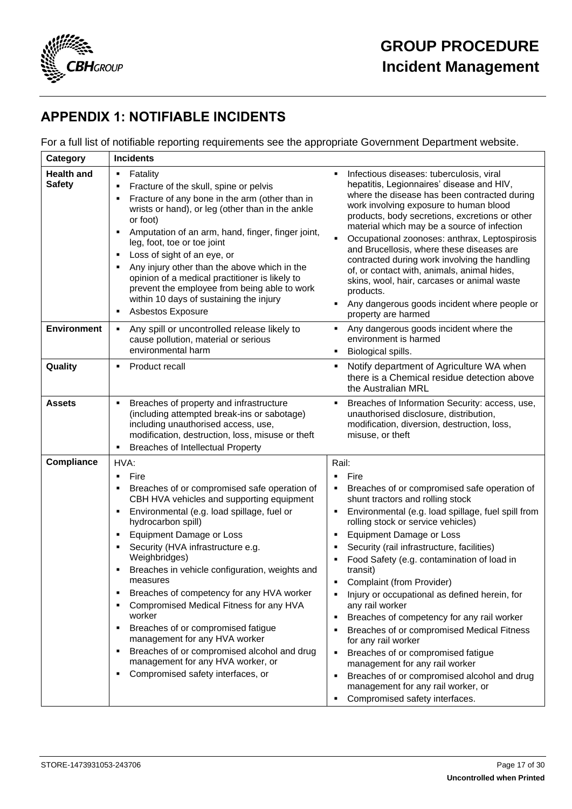

## <span id="page-16-0"></span>**APPENDIX 1: NOTIFIABLE INCIDENTS**

For a full list of notifiable reporting requirements see the appropriate Government Department website.

| Category                           | <b>Incidents</b>                                                                                                                                                                                                                                                                                                                                                                                                                                                                                                                                                                                                                                                                      |                                                                                                                                                                                                                                                                                                                                                                                                                                                                                                                                                                                                                                                                                                                                                                   |
|------------------------------------|---------------------------------------------------------------------------------------------------------------------------------------------------------------------------------------------------------------------------------------------------------------------------------------------------------------------------------------------------------------------------------------------------------------------------------------------------------------------------------------------------------------------------------------------------------------------------------------------------------------------------------------------------------------------------------------|-------------------------------------------------------------------------------------------------------------------------------------------------------------------------------------------------------------------------------------------------------------------------------------------------------------------------------------------------------------------------------------------------------------------------------------------------------------------------------------------------------------------------------------------------------------------------------------------------------------------------------------------------------------------------------------------------------------------------------------------------------------------|
| <b>Health and</b><br><b>Safety</b> | Fatality<br>٠<br>Fracture of the skull, spine or pelvis<br>٠<br>Fracture of any bone in the arm (other than in<br>Е<br>wrists or hand), or leg (other than in the ankle<br>or foot)<br>Amputation of an arm, hand, finger, finger joint,<br>٠<br>leg, foot, toe or toe joint<br>Loss of sight of an eye, or<br>٠<br>Any injury other than the above which in the<br>٠<br>opinion of a medical practitioner is likely to<br>prevent the employee from being able to work<br>within 10 days of sustaining the injury<br><b>Asbestos Exposure</b><br>٠                                                                                                                                   | Infectious diseases: tuberculosis, viral<br>hepatitis, Legionnaires' disease and HIV,<br>where the disease has been contracted during<br>work involving exposure to human blood<br>products, body secretions, excretions or other<br>material which may be a source of infection<br>Occupational zoonoses: anthrax, Leptospirosis<br>and Brucellosis, where these diseases are<br>contracted during work involving the handling<br>of, or contact with, animals, animal hides,<br>skins, wool, hair, carcases or animal waste<br>products.<br>Any dangerous goods incident where people or<br>property are harmed                                                                                                                                                 |
| <b>Environment</b>                 | Any spill or uncontrolled release likely to<br>٠<br>cause pollution, material or serious<br>environmental harm                                                                                                                                                                                                                                                                                                                                                                                                                                                                                                                                                                        | Any dangerous goods incident where the<br>٠<br>environment is harmed<br>Biological spills.                                                                                                                                                                                                                                                                                                                                                                                                                                                                                                                                                                                                                                                                        |
| Quality                            | Product recall<br>٠                                                                                                                                                                                                                                                                                                                                                                                                                                                                                                                                                                                                                                                                   | Notify department of Agriculture WA when<br>٠<br>there is a Chemical residue detection above<br>the Australian MRL                                                                                                                                                                                                                                                                                                                                                                                                                                                                                                                                                                                                                                                |
| <b>Assets</b>                      | Breaches of property and infrastructure<br>(including attempted break-ins or sabotage)<br>including unauthorised access, use,<br>modification, destruction, loss, misuse or theft<br><b>Breaches of Intellectual Property</b><br>٠                                                                                                                                                                                                                                                                                                                                                                                                                                                    | Breaches of Information Security: access, use,<br>unauthorised disclosure, distribution,<br>modification, diversion, destruction, loss,<br>misuse, or theft                                                                                                                                                                                                                                                                                                                                                                                                                                                                                                                                                                                                       |
| Compliance                         | HVA:                                                                                                                                                                                                                                                                                                                                                                                                                                                                                                                                                                                                                                                                                  | Rail:                                                                                                                                                                                                                                                                                                                                                                                                                                                                                                                                                                                                                                                                                                                                                             |
|                                    |                                                                                                                                                                                                                                                                                                                                                                                                                                                                                                                                                                                                                                                                                       |                                                                                                                                                                                                                                                                                                                                                                                                                                                                                                                                                                                                                                                                                                                                                                   |
|                                    | Fire<br>٠<br>Breaches of or compromised safe operation of<br>٠<br>CBH HVA vehicles and supporting equipment<br>Environmental (e.g. load spillage, fuel or<br>٠<br>hydrocarbon spill)<br><b>Equipment Damage or Loss</b><br>٠<br>Security (HVA infrastructure e.g.<br>٠<br>Weighbridges)<br>Breaches in vehicle configuration, weights and<br>٠<br>measures<br>Breaches of competency for any HVA worker<br>٠<br>Compromised Medical Fitness for any HVA<br>٠<br>worker<br>Breaches of or compromised fatigue<br>٠<br>management for any HVA worker<br>Breaches of or compromised alcohol and drug<br>٠<br>management for any HVA worker, or<br>Compromised safety interfaces, or<br>٠ | Fire<br>٠<br>Breaches of or compromised safe operation of<br>shunt tractors and rolling stock<br>Environmental (e.g. load spillage, fuel spill from<br>rolling stock or service vehicles)<br><b>Equipment Damage or Loss</b><br>Security (rail infrastructure, facilities)<br>Food Safety (e.g. contamination of load in<br>transit)<br>Complaint (from Provider)<br>٠<br>Injury or occupational as defined herein, for<br>any rail worker<br>Breaches of competency for any rail worker<br>Breaches of or compromised Medical Fitness<br>for any rail worker<br>Breaches of or compromised fatigue<br>٠<br>management for any rail worker<br>Breaches of or compromised alcohol and drug<br>management for any rail worker, or<br>Compromised safety interfaces. |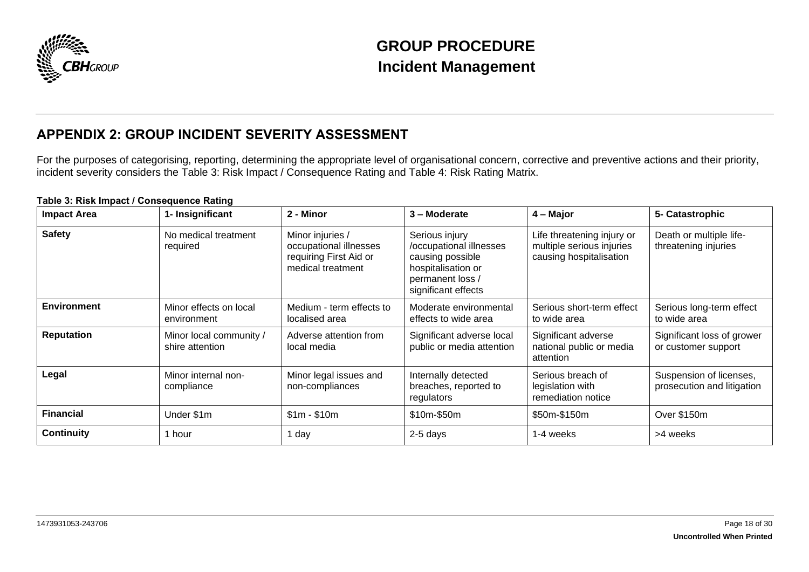

## **APPENDIX 2: GROUP INCIDENT SEVERITY ASSESSMENT**

For the purposes of categorising, reporting, determining the appropriate level of organisational concern, corrective and preventive actions and their priority, incident severity considers the [Table 3: Risk Impact / Consequence Rating](#page-17-1) and [Table 4: Risk Rating Matrix.](#page-18-0)

<span id="page-17-1"></span><span id="page-17-0"></span>

| Table 3: Risk Impact / Consequence Rating |                                            |                                                                                           |                                                                                                                                |                                                                                    |                                                       |  |
|-------------------------------------------|--------------------------------------------|-------------------------------------------------------------------------------------------|--------------------------------------------------------------------------------------------------------------------------------|------------------------------------------------------------------------------------|-------------------------------------------------------|--|
| <b>Impact Area</b>                        | 1- Insignificant                           | 2 - Minor                                                                                 | 3 – Moderate                                                                                                                   | 4 – Major                                                                          | 5- Catastrophic                                       |  |
| <b>Safety</b>                             | No medical treatment<br>required           | Minor injuries /<br>occupational illnesses<br>requiring First Aid or<br>medical treatment | Serious injury<br>/occupational illnesses<br>causing possible<br>hospitalisation or<br>permanent loss /<br>significant effects | Life threatening injury or<br>multiple serious injuries<br>causing hospitalisation | Death or multiple life-<br>threatening injuries       |  |
| <b>Environment</b>                        | Minor effects on local<br>environment      | Medium - term effects to<br>localised area                                                | Moderate environmental<br>effects to wide area                                                                                 | Serious short-term effect<br>to wide area                                          | Serious long-term effect<br>to wide area              |  |
| <b>Reputation</b>                         | Minor local community /<br>shire attention | Adverse attention from<br>local media                                                     | Significant adverse local<br>public or media attention                                                                         | Significant adverse<br>national public or media<br>attention                       | Significant loss of grower<br>or customer support     |  |
| Legal                                     | Minor internal non-<br>compliance          | Minor legal issues and<br>non-compliances                                                 | Internally detected<br>breaches, reported to<br>regulators                                                                     | Serious breach of<br>legislation with<br>remediation notice                        | Suspension of licenses,<br>prosecution and litigation |  |
| <b>Financial</b>                          | Under \$1m                                 | $$1m - $10m$                                                                              | \$10m-\$50m                                                                                                                    | \$50m-\$150m                                                                       | Over \$150m                                           |  |
| <b>Continuity</b>                         | hour                                       | l day                                                                                     | 2-5 days                                                                                                                       | 1-4 weeks                                                                          | >4 weeks                                              |  |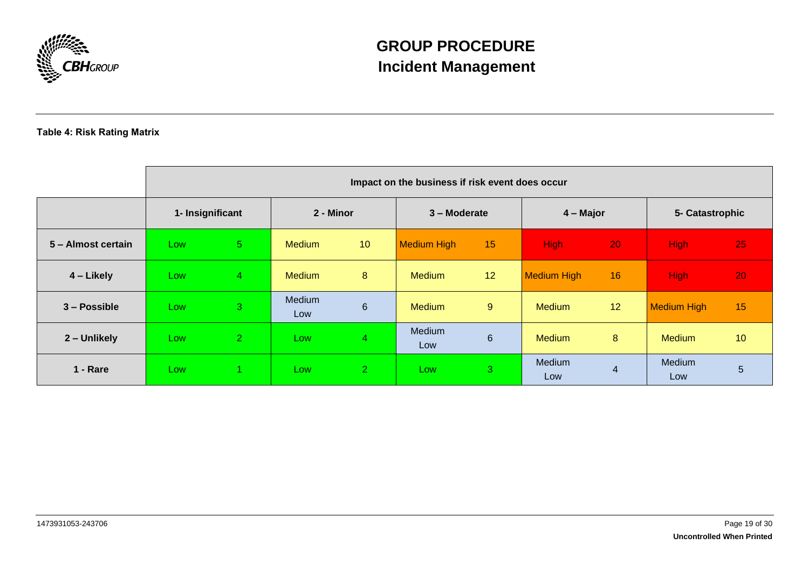

### <span id="page-18-0"></span>**Table 4: Risk Rating Matrix**

|                    | Impact on the business if risk event does occur |                |               |                 |                    |                |                    |                |                    |    |
|--------------------|-------------------------------------------------|----------------|---------------|-----------------|--------------------|----------------|--------------------|----------------|--------------------|----|
|                    | 1- Insignificant                                |                | 2 - Minor     |                 | 3 – Moderate       |                | $4 -$ Major        |                | 5- Catastrophic    |    |
| 5 - Almost certain | Low                                             | 5 <sup>5</sup> | <b>Medium</b> | 10 <sup>°</sup> | <b>Medium High</b> | 15             | <b>High</b>        | 20             | <b>High</b>        | 25 |
| 4 – Likely         | Low                                             | $\overline{4}$ | <b>Medium</b> | 8               | <b>Medium</b>      | 12             | <b>Medium High</b> | 16             | <b>High</b>        | 20 |
| 3 – Possible       | Low                                             | 3              | Medium<br>Low | $6\phantom{1}$  | <b>Medium</b>      | 9              | <b>Medium</b>      | 12             | <b>Medium High</b> | 15 |
| 2 - Unlikely       | Low                                             | $\overline{2}$ | Low           | $\overline{4}$  | Medium<br>Low      | $6\phantom{1}$ | <b>Medium</b>      | 8              | <b>Medium</b>      | 10 |
| 1 - Rare           | Low                                             |                | Low           | $\overline{2}$  | Low                | 3              | Medium<br>Low      | $\overline{4}$ | Medium<br>Low      | 5  |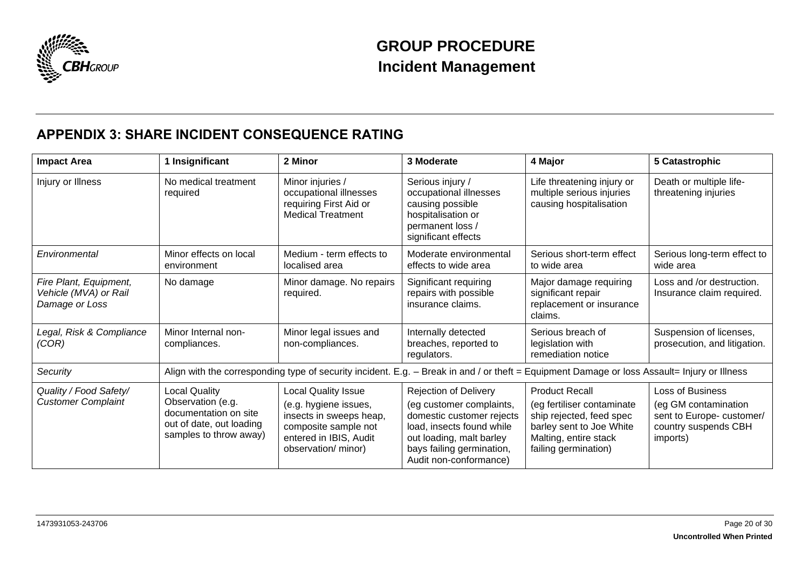

## **APPENDIX 3: SHARE INCIDENT CONSEQUENCE RATING**

<span id="page-19-0"></span>

| <b>Impact Area</b>                                                | 1 Insignificant                                                                                                          | 2 Minor                                                                                                                                                 | 3 Moderate                                                                                                                                                                                            | 4 Major                                                                                                                                                      | 5 Catastrophic                                                                                            |
|-------------------------------------------------------------------|--------------------------------------------------------------------------------------------------------------------------|---------------------------------------------------------------------------------------------------------------------------------------------------------|-------------------------------------------------------------------------------------------------------------------------------------------------------------------------------------------------------|--------------------------------------------------------------------------------------------------------------------------------------------------------------|-----------------------------------------------------------------------------------------------------------|
| Injury or Illness                                                 | No medical treatment<br>required                                                                                         | Minor injuries /<br>occupational illnesses<br>requiring First Aid or<br><b>Medical Treatment</b>                                                        | Serious injury /<br>occupational illnesses<br>causing possible<br>hospitalisation or<br>permanent loss /<br>significant effects                                                                       | Life threatening injury or<br>multiple serious injuries<br>causing hospitalisation                                                                           | Death or multiple life-<br>threatening injuries                                                           |
| Environmental                                                     | Minor effects on local<br>environment                                                                                    | Medium - term effects to<br>localised area                                                                                                              | Moderate environmental<br>effects to wide area                                                                                                                                                        | Serious short-term effect<br>to wide area                                                                                                                    | Serious long-term effect to<br>wide area                                                                  |
| Fire Plant, Equipment,<br>Vehicle (MVA) or Rail<br>Damage or Loss | No damage                                                                                                                | Minor damage. No repairs<br>required.                                                                                                                   | Significant requiring<br>repairs with possible<br>insurance claims.                                                                                                                                   | Major damage requiring<br>significant repair<br>replacement or insurance<br>claims.                                                                          | Loss and /or destruction.<br>Insurance claim required.                                                    |
| Legal, Risk & Compliance<br>(COR)                                 | Minor Internal non-<br>compliances.                                                                                      | Minor legal issues and<br>non-compliances.                                                                                                              | Internally detected<br>breaches, reported to<br>regulators.                                                                                                                                           | Serious breach of<br>legislation with<br>remediation notice                                                                                                  | Suspension of licenses,<br>prosecution, and litigation.                                                   |
| Security                                                          |                                                                                                                          |                                                                                                                                                         | Align with the corresponding type of security incident. E.g. - Break in and / or theft = Equipment Damage or loss Assault= Injury or Illness                                                          |                                                                                                                                                              |                                                                                                           |
| Quality / Food Safety/<br><b>Customer Complaint</b>               | <b>Local Quality</b><br>Observation (e.g.<br>documentation on site<br>out of date, out loading<br>samples to throw away) | <b>Local Quality Issue</b><br>(e.g. hygiene issues,<br>insects in sweeps heap,<br>composite sample not<br>entered in IBIS, Audit<br>observation/ minor) | <b>Rejection of Delivery</b><br>(eg customer complaints,<br>domestic customer rejects<br>load, insects found while<br>out loading, malt barley<br>bays failing germination,<br>Audit non-conformance) | <b>Product Recall</b><br>(eg fertiliser contaminate<br>ship rejected, feed spec<br>barley sent to Joe White<br>Malting, entire stack<br>failing germination) | Loss of Business<br>(eg GM contamination<br>sent to Europe- customer/<br>country suspends CBH<br>imports) |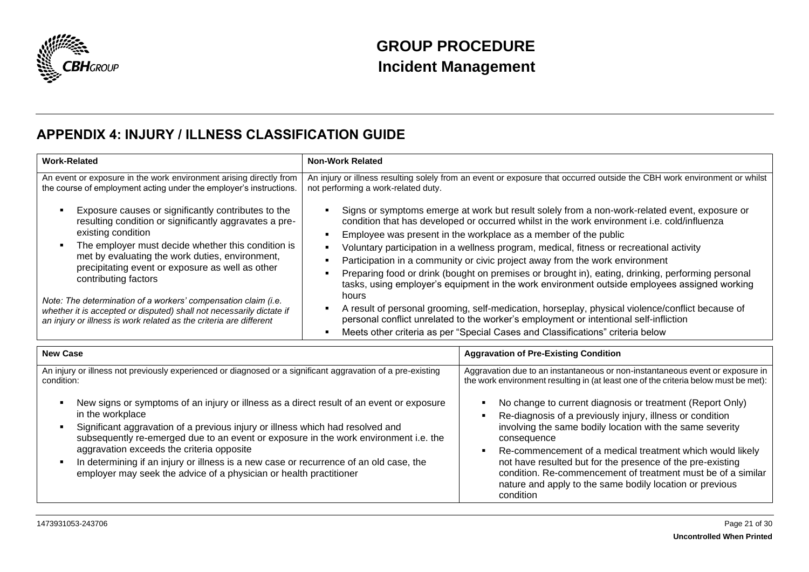

## **APPENDIX 4: INJURY / ILLNESS CLASSIFICATION GUIDE**

<span id="page-20-0"></span>

| <b>Work-Related</b>                                                                                                                                                                                                                                                                                                                                                                                                                                                                                                                          | <b>Non-Work Related</b>                                          |                                                                                                                                                                                                                                                                                                                                                                                                                                                                                                                                                                            |  |
|----------------------------------------------------------------------------------------------------------------------------------------------------------------------------------------------------------------------------------------------------------------------------------------------------------------------------------------------------------------------------------------------------------------------------------------------------------------------------------------------------------------------------------------------|------------------------------------------------------------------|----------------------------------------------------------------------------------------------------------------------------------------------------------------------------------------------------------------------------------------------------------------------------------------------------------------------------------------------------------------------------------------------------------------------------------------------------------------------------------------------------------------------------------------------------------------------------|--|
| An event or exposure in the work environment arising directly from<br>the course of employment acting under the employer's instructions.<br>Exposure causes or significantly contributes to the<br>п                                                                                                                                                                                                                                                                                                                                         | not performing a work-related duty.                              | An injury or illness resulting solely from an event or exposure that occurred outside the CBH work environment or whilst<br>Signs or symptoms emerge at work but result solely from a non-work-related event, exposure or                                                                                                                                                                                                                                                                                                                                                  |  |
| resulting condition or significantly aggravates a pre-<br>existing condition                                                                                                                                                                                                                                                                                                                                                                                                                                                                 | $\blacksquare$                                                   | condition that has developed or occurred whilst in the work environment i.e. cold/influenza<br>Employee was present in the workplace as a member of the public                                                                                                                                                                                                                                                                                                                                                                                                             |  |
| The employer must decide whether this condition is<br>$\blacksquare$<br>met by evaluating the work duties, environment,<br>precipitating event or exposure as well as other<br>contributing factors<br>Note: The determination of a workers' compensation claim (i.e.<br>whether it is accepted or disputed) shall not necessarily dictate if<br>an injury or illness is work related as the criteria are different                                                                                                                          | $\blacksquare$<br>$\blacksquare$<br>п<br>hours<br>$\blacksquare$ | Voluntary participation in a wellness program, medical, fitness or recreational activity<br>Participation in a community or civic project away from the work environment<br>Preparing food or drink (bought on premises or brought in), eating, drinking, performing personal<br>tasks, using employer's equipment in the work environment outside employees assigned working<br>A result of personal grooming, self-medication, horseplay, physical violence/conflict because of<br>personal conflict unrelated to the worker's employment or intentional self-infliction |  |
|                                                                                                                                                                                                                                                                                                                                                                                                                                                                                                                                              |                                                                  | Meets other criteria as per "Special Cases and Classifications" criteria below                                                                                                                                                                                                                                                                                                                                                                                                                                                                                             |  |
| <b>New Case</b>                                                                                                                                                                                                                                                                                                                                                                                                                                                                                                                              |                                                                  | <b>Aggravation of Pre-Existing Condition</b>                                                                                                                                                                                                                                                                                                                                                                                                                                                                                                                               |  |
| An injury or illness not previously experienced or diagnosed or a significant aggravation of a pre-existing<br>condition:                                                                                                                                                                                                                                                                                                                                                                                                                    |                                                                  | Aggravation due to an instantaneous or non-instantaneous event or exposure in<br>the work environment resulting in (at least one of the criteria below must be met):                                                                                                                                                                                                                                                                                                                                                                                                       |  |
| New signs or symptoms of an injury or illness as a direct result of an event or exposure<br>п<br>in the workplace<br>Significant aggravation of a previous injury or illness which had resolved and<br>$\blacksquare$<br>subsequently re-emerged due to an event or exposure in the work environment i.e. the<br>aggravation exceeds the criteria opposite<br>In determining if an injury or illness is a new case or recurrence of an old case, the<br>$\blacksquare$<br>employer may seek the advice of a physician or health practitioner |                                                                  | No change to current diagnosis or treatment (Report Only)<br>Re-diagnosis of a previously injury, illness or condition<br>involving the same bodily location with the same severity<br>consequence<br>Re-commencement of a medical treatment which would likely<br>$\blacksquare$<br>not have resulted but for the presence of the pre-existing<br>condition. Re-commencement of treatment must be of a similar<br>nature and apply to the same bodily location or previous<br>condition                                                                                   |  |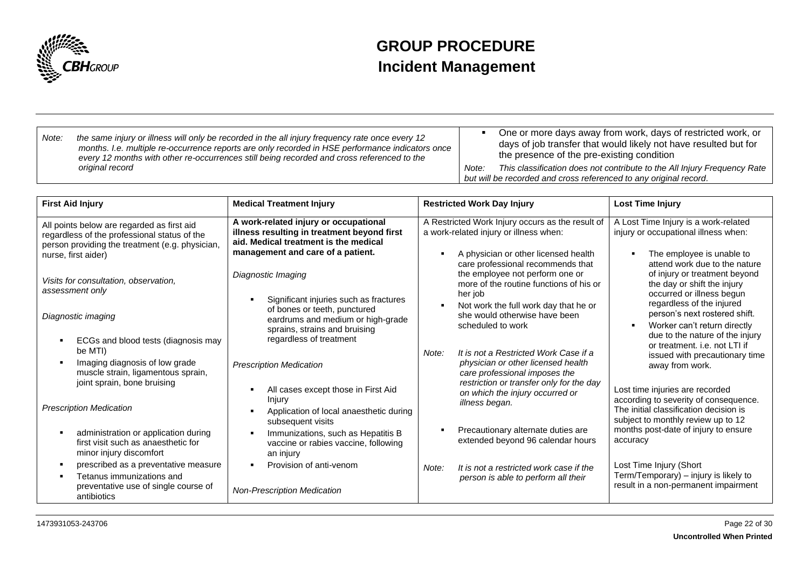

| Note: | the same injury or illness will only be recorded in the all injury frequency rate once every 12<br>months. I.e. multiple re-occurrence reports are only recorded in HSE performance indicators once<br>every 12 months with other re-occurrences still being recorded and cross referenced to the |       | One or more days away from work, days of restricted work, or<br>days of job transfer that would likely not have resulted but for<br>the presence of the pre-existing condition |
|-------|---------------------------------------------------------------------------------------------------------------------------------------------------------------------------------------------------------------------------------------------------------------------------------------------------|-------|--------------------------------------------------------------------------------------------------------------------------------------------------------------------------------|
|       | original record                                                                                                                                                                                                                                                                                   | Note: | This classification does not contribute to the All Injury Frequency Rate                                                                                                       |
|       |                                                                                                                                                                                                                                                                                                   |       | but will be recorded and cross referenced to any original record.                                                                                                              |

| <b>First Aid Injury</b>                                                                                                                        | <b>Medical Treatment Injury</b>                                                                                                                                    | <b>Restricted Work Day Injury</b>                                                                                                                                                                                                            | Lost Time Injury                                                                                                                                                                                                           |
|------------------------------------------------------------------------------------------------------------------------------------------------|--------------------------------------------------------------------------------------------------------------------------------------------------------------------|----------------------------------------------------------------------------------------------------------------------------------------------------------------------------------------------------------------------------------------------|----------------------------------------------------------------------------------------------------------------------------------------------------------------------------------------------------------------------------|
| All points below are regarded as first aid<br>regardless of the professional status of the<br>person providing the treatment (e.g. physician,  | A work-related injury or occupational<br>illness resulting in treatment beyond first<br>aid. Medical treatment is the medical<br>management and care of a patient. | A Restricted Work Injury occurs as the result of<br>a work-related injury or illness when:                                                                                                                                                   | A Lost Time Injury is a work-related<br>injury or occupational illness when:                                                                                                                                               |
| nurse, first aider)<br>Visits for consultation, observation,<br>assessment only<br>Diagnostic imaging                                          | Diagnostic Imaging<br>Significant injuries such as fractures<br>of bones or teeth, punctured<br>eardrums and medium or high-grade                                  | A physician or other licensed health<br>care professional recommends that<br>the employee not perform one or<br>more of the routine functions of his or<br>her job<br>Not work the full work day that he or<br>she would otherwise have been | The employee is unable to<br>٠<br>attend work due to the nature<br>of injury or treatment beyond<br>the day or shift the injury<br>occurred or illness begun<br>regardless of the injured<br>person's next rostered shift. |
| ECGs and blood tests (diagnosis may<br>$\blacksquare$<br>be MTI)<br>Imaging diagnosis of low grade<br>л.<br>muscle strain, ligamentous sprain, | sprains, strains and bruising<br>regardless of treatment<br><b>Prescription Medication</b>                                                                         | scheduled to work<br>It is not a Restricted Work Case if a<br>Note:<br>physician or other licensed health<br>care professional imposes the                                                                                                   | Worker can't return directly<br>$\blacksquare$<br>due to the nature of the injury<br>or treatment, i.e. not LTI if<br>issued with precautionary time<br>away from work.                                                    |
| joint sprain, bone bruising<br><b>Prescription Medication</b>                                                                                  | All cases except those in First Aid<br>Injury<br>Application of local anaesthetic during<br>subsequent visits                                                      | restriction or transfer only for the day<br>on which the injury occurred or<br>illness began.                                                                                                                                                | Lost time injuries are recorded<br>according to severity of consequence.<br>The initial classification decision is<br>subject to monthly review up to 12                                                                   |
| administration or application during<br>first visit such as anaesthetic for<br>minor injury discomfort                                         | Immunizations, such as Hepatitis B<br>vaccine or rabies vaccine, following<br>an injury                                                                            | Precautionary alternate duties are<br>extended beyond 96 calendar hours                                                                                                                                                                      | months post-date of injury to ensure<br>accuracy                                                                                                                                                                           |
| prescribed as a preventative measure<br>л.<br>Tetanus immunizations and<br>preventative use of single course of<br>antibiotics                 | Provision of anti-venom<br><b>Non-Prescription Medication</b>                                                                                                      | It is not a restricted work case if the<br>Note:<br>person is able to perform all their                                                                                                                                                      | Lost Time Injury (Short<br>Term/Temporary) - injury is likely to<br>result in a non-permanent impairment                                                                                                                   |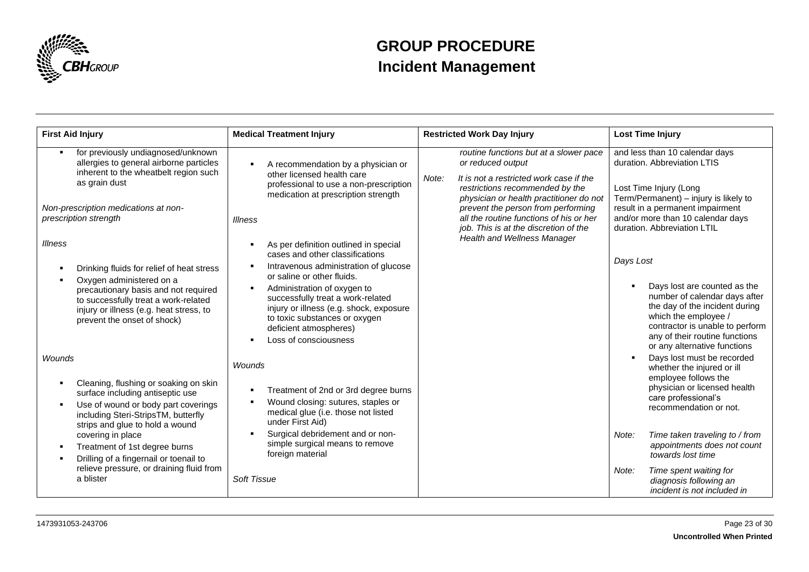

| <b>First Aid Injury</b>                                                                                                                                                                                                                    | <b>Medical Treatment Injury</b>                                                                                                                                                                                                                                                                                                                    | <b>Restricted Work Day Injury</b>                                                                                                                                                                                                                                                                                       | <b>Lost Time Injury</b>                                                                                                                                                                                                                   |
|--------------------------------------------------------------------------------------------------------------------------------------------------------------------------------------------------------------------------------------------|----------------------------------------------------------------------------------------------------------------------------------------------------------------------------------------------------------------------------------------------------------------------------------------------------------------------------------------------------|-------------------------------------------------------------------------------------------------------------------------------------------------------------------------------------------------------------------------------------------------------------------------------------------------------------------------|-------------------------------------------------------------------------------------------------------------------------------------------------------------------------------------------------------------------------------------------|
| for previously undiagnosed/unknown<br>л.<br>allergies to general airborne particles<br>inherent to the wheatbelt region such<br>as grain dust<br>Non-prescription medications at non-<br>prescription strength                             | A recommendation by a physician or<br>other licensed health care<br>professional to use a non-prescription<br>medication at prescription strength<br><i><b>Illness</b></i>                                                                                                                                                                         | routine functions but at a slower pace<br>or reduced output<br>It is not a restricted work case if the<br>Note:<br>restrictions recommended by the<br>physician or health practitioner do not<br>prevent the person from performing<br>all the routine functions of his or her<br>job. This is at the discretion of the | and less than 10 calendar days<br>duration. Abbreviation LTIS<br>Lost Time Injury (Long<br>Term/Permanent) - injury is likely to<br>result in a permanent impairment<br>and/or more than 10 calendar days<br>duration. Abbreviation LTIL  |
| Illness<br>Drinking fluids for relief of heat stress<br>Oxygen administered on a<br>precautionary basis and not required<br>to successfully treat a work-related<br>injury or illness (e.g. heat stress, to<br>prevent the onset of shock) | As per definition outlined in special<br>cases and other classifications<br>Intravenous administration of glucose<br>or saline or other fluids.<br>Administration of oxygen to<br>successfully treat a work-related<br>injury or illness (e.g. shock, exposure<br>to toxic substances or oxygen<br>deficient atmospheres)<br>Loss of consciousness | <b>Health and Wellness Manager</b>                                                                                                                                                                                                                                                                                      | Days Lost<br>Days lost are counted as the<br>number of calendar days after<br>the day of the incident during<br>which the employee /<br>contractor is unable to perform<br>any of their routine functions<br>or any alternative functions |
| <b>Wounds</b><br>Cleaning, flushing or soaking on skin<br>surface including antiseptic use<br>Use of wound or body part coverings<br>including Steri-StripsTM, butterfly<br>strips and glue to hold a wound                                | <b>Wounds</b><br>Treatment of 2nd or 3rd degree burns<br>Wound closing: sutures, staples or<br>medical glue (i.e. those not listed<br>under First Aid)                                                                                                                                                                                             |                                                                                                                                                                                                                                                                                                                         | Days lost must be recorded<br>whether the injured or ill<br>employee follows the<br>physician or licensed health<br>care professional's<br>recommendation or not.                                                                         |
| covering in place<br>Treatment of 1st degree burns<br>л.<br>Drilling of a fingernail or toenail to<br>relieve pressure, or draining fluid from                                                                                             | Surgical debridement and or non-<br>simple surgical means to remove<br>foreign material                                                                                                                                                                                                                                                            |                                                                                                                                                                                                                                                                                                                         | Time taken traveling to / from<br>Note:<br>appointments does not count<br>towards lost time                                                                                                                                               |
| a blister                                                                                                                                                                                                                                  | Soft Tissue                                                                                                                                                                                                                                                                                                                                        |                                                                                                                                                                                                                                                                                                                         | Time spent waiting for<br>Note:<br>diagnosis following an<br>incident is not included in                                                                                                                                                  |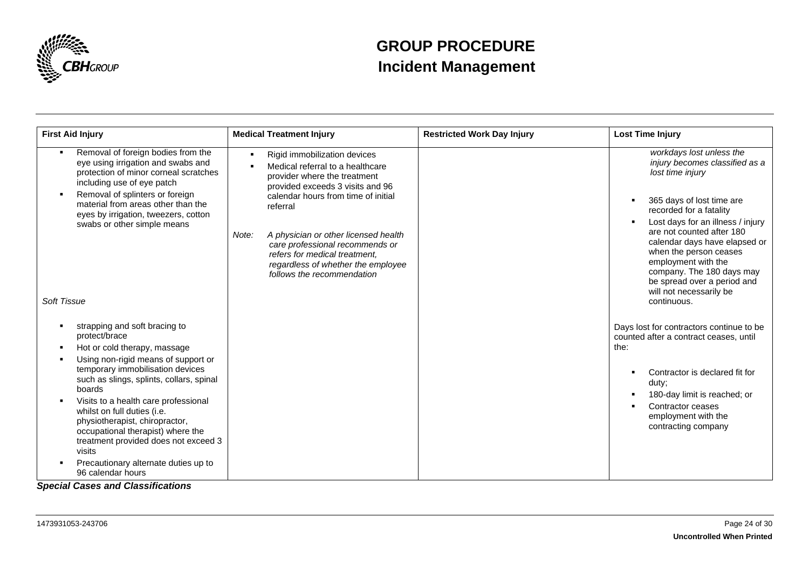

| <b>First Aid Injury</b>                                                                                                                                                                                                                                                                                                                                                                                                                                                      | <b>Medical Treatment Injury</b>                                                                                                                                                                                                                                                                                                                                                  | <b>Restricted Work Day Injury</b> | <b>Lost Time Injury</b>                                                                                                                                                                                                                                                                                                                                     |
|------------------------------------------------------------------------------------------------------------------------------------------------------------------------------------------------------------------------------------------------------------------------------------------------------------------------------------------------------------------------------------------------------------------------------------------------------------------------------|----------------------------------------------------------------------------------------------------------------------------------------------------------------------------------------------------------------------------------------------------------------------------------------------------------------------------------------------------------------------------------|-----------------------------------|-------------------------------------------------------------------------------------------------------------------------------------------------------------------------------------------------------------------------------------------------------------------------------------------------------------------------------------------------------------|
| Removal of foreign bodies from the<br>۰.<br>eye using irrigation and swabs and<br>protection of minor corneal scratches<br>including use of eye patch<br>Removal of splinters or foreign<br>material from areas other than the<br>eyes by irrigation, tweezers, cotton<br>swabs or other simple means                                                                                                                                                                        | Rigid immobilization devices<br>Medical referral to a healthcare<br>provider where the treatment<br>provided exceeds 3 visits and 96<br>calendar hours from time of initial<br>referral<br>A physician or other licensed health<br>Note:<br>care professional recommends or<br>refers for medical treatment,<br>regardless of whether the employee<br>follows the recommendation |                                   | workdays lost unless the<br>injury becomes classified as a<br>lost time injury<br>365 days of lost time are<br>٠<br>recorded for a fatality<br>Lost days for an illness / injury<br>are not counted after 180<br>calendar days have elapsed or<br>when the person ceases<br>employment with the<br>company. The 180 days may<br>be spread over a period and |
| Soft Tissue                                                                                                                                                                                                                                                                                                                                                                                                                                                                  |                                                                                                                                                                                                                                                                                                                                                                                  |                                   | will not necessarily be<br>continuous.                                                                                                                                                                                                                                                                                                                      |
| strapping and soft bracing to<br>protect/brace<br>Hot or cold therapy, massage<br>Using non-rigid means of support or<br>temporary immobilisation devices<br>such as slings, splints, collars, spinal<br>boards<br>Visits to a health care professional<br>whilst on full duties (i.e.<br>physiotherapist, chiropractor,<br>occupational therapist) where the<br>treatment provided does not exceed 3<br>visits<br>Precautionary alternate duties up to<br>96 calendar hours |                                                                                                                                                                                                                                                                                                                                                                                  |                                   | Days lost for contractors continue to be<br>counted after a contract ceases, until<br>the:<br>Contractor is declared fit for<br>duty;<br>180-day limit is reached; or<br>Contractor ceases<br>employment with the<br>contracting company                                                                                                                    |

*Special Cases and Classifications*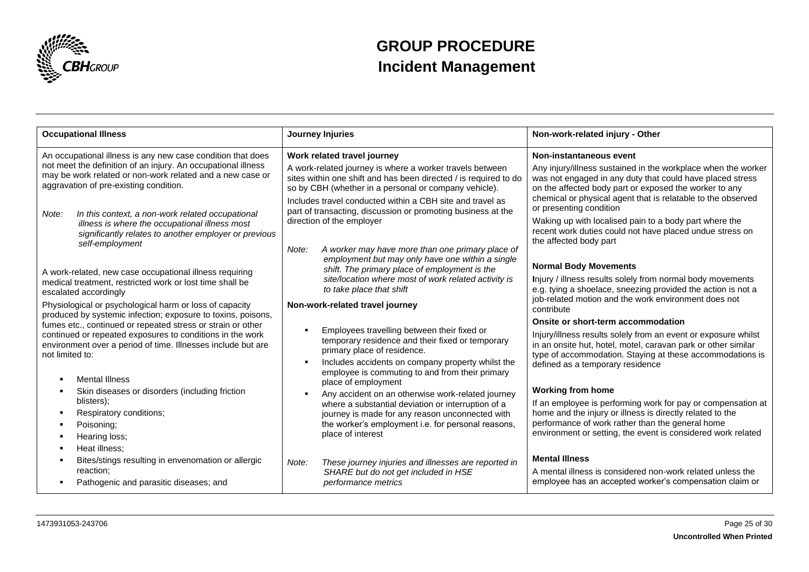

| <b>Occupational Illness</b>                                                                                                                                                                                                                                                                                                                                                                     | Journey Injuries                                                                                                                                                                                                                                                                                                                                                                                                                              | Non-work-related injury - Other                                                                                                                                                                                                                                                                                                                                                                                                 |
|-------------------------------------------------------------------------------------------------------------------------------------------------------------------------------------------------------------------------------------------------------------------------------------------------------------------------------------------------------------------------------------------------|-----------------------------------------------------------------------------------------------------------------------------------------------------------------------------------------------------------------------------------------------------------------------------------------------------------------------------------------------------------------------------------------------------------------------------------------------|---------------------------------------------------------------------------------------------------------------------------------------------------------------------------------------------------------------------------------------------------------------------------------------------------------------------------------------------------------------------------------------------------------------------------------|
| An occupational illness is any new case condition that does<br>not meet the definition of an injury. An occupational illness<br>may be work related or non-work related and a new case or<br>aggravation of pre-existing condition.                                                                                                                                                             | Work related travel journey<br>A work-related journey is where a worker travels between<br>sites within one shift and has been directed / is required to do<br>so by CBH (whether in a personal or company vehicle).                                                                                                                                                                                                                          | Non-instantaneous event<br>Any injury/illness sustained in the workplace when the worker<br>was not engaged in any duty that could have placed stress<br>on the affected body part or exposed the worker to any                                                                                                                                                                                                                 |
| In this context, a non-work related occupational<br>Note:<br>illness is where the occupational illness most<br>significantly relates to another employer or previous<br>self-employment                                                                                                                                                                                                         | Includes travel conducted within a CBH site and travel as<br>part of transacting, discussion or promoting business at the<br>direction of the employer<br>A worker may have more than one primary place of<br>Note:<br>employment but may only have one within a single                                                                                                                                                                       | chemical or physical agent that is relatable to the observed<br>or presenting condition<br>Waking up with localised pain to a body part where the<br>recent work duties could not have placed undue stress on<br>the affected body part                                                                                                                                                                                         |
| A work-related, new case occupational illness requiring<br>medical treatment, restricted work or lost time shall be<br>escalated accordingly<br>Physiological or psychological harm or loss of capacity                                                                                                                                                                                         | shift. The primary place of employment is the<br>site/location where most of work related activity is<br>to take place that shift<br>Non-work-related travel journey                                                                                                                                                                                                                                                                          | <b>Normal Body Movements</b><br>Injury / illness results solely from normal body movements<br>e.g. tying a shoelace, sneezing provided the action is not a<br>job-related motion and the work environment does not<br>contribute                                                                                                                                                                                                |
| produced by systemic infection; exposure to toxins, poisons,<br>fumes etc., continued or repeated stress or strain or other<br>continued or repeated exposures to conditions in the work<br>environment over a period of time. Illnesses include but are<br>not limited to:<br><b>Mental Illness</b><br>Skin diseases or disorders (including friction<br>blisters);<br>Respiratory conditions; | Employees travelling between their fixed or<br>temporary residence and their fixed or temporary<br>primary place of residence.<br>Includes accidents on company property whilst the<br>$\blacksquare$<br>employee is commuting to and from their primary<br>place of employment<br>Any accident on an otherwise work-related journey<br>where a substantial deviation or interruption of a<br>journey is made for any reason unconnected with | Onsite or short-term accommodation<br>Injury/illness results solely from an event or exposure whilst<br>in an onsite hut, hotel, motel, caravan park or other similar<br>type of accommodation. Staying at these accommodations is<br>defined as a temporary residence<br><b>Working from home</b><br>If an employee is performing work for pay or compensation at<br>home and the injury or illness is directly related to the |
| Poisoning;<br>Hearing loss;<br>Heat illness;<br>Bites/stings resulting in envenomation or allergic<br>reaction:<br>Pathogenic and parasitic diseases; and                                                                                                                                                                                                                                       | the worker's employment i.e. for personal reasons,<br>place of interest<br>These journey injuries and illnesses are reported in<br>Note:<br>SHARE but do not get included in HSE<br>performance metrics                                                                                                                                                                                                                                       | performance of work rather than the general home<br>environment or setting, the event is considered work related<br><b>Mental Illness</b><br>A mental illness is considered non-work related unless the<br>employee has an accepted worker's compensation claim or                                                                                                                                                              |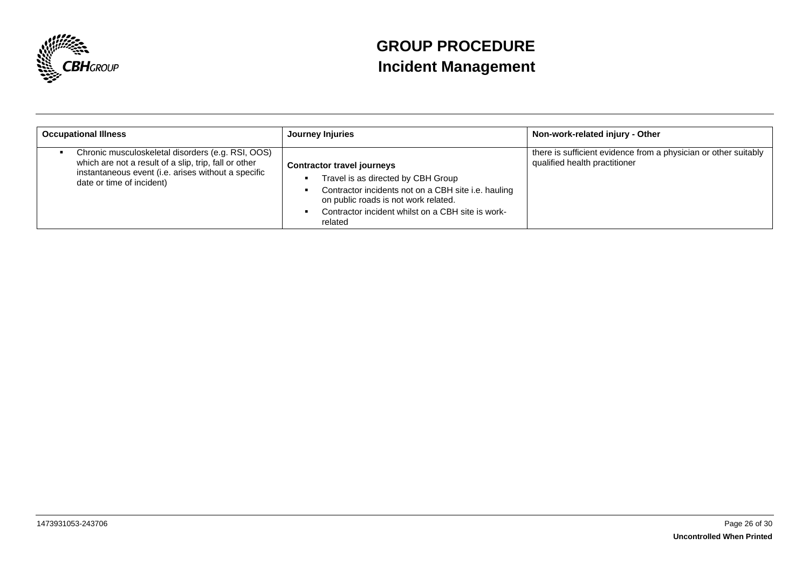

| <b>Occupational Illness</b>                                                                                                                                                                    | Journey Injuries                                                                                                                                                                                                                       | Non-work-related injury - Other                                                                  |
|------------------------------------------------------------------------------------------------------------------------------------------------------------------------------------------------|----------------------------------------------------------------------------------------------------------------------------------------------------------------------------------------------------------------------------------------|--------------------------------------------------------------------------------------------------|
| Chronic musculoskeletal disorders (e.g. RSI, OOS)<br>which are not a result of a slip, trip, fall or other<br>instantaneous event (i.e. arises without a specific<br>date or time of incident) | <b>Contractor travel journeys</b><br>Travel is as directed by CBH Group<br>Contractor incidents not on a CBH site i.e. hauling<br>on public roads is not work related.<br>Contractor incident whilst on a CBH site is work-<br>related | there is sufficient evidence from a physician or other suitably<br>qualified health practitioner |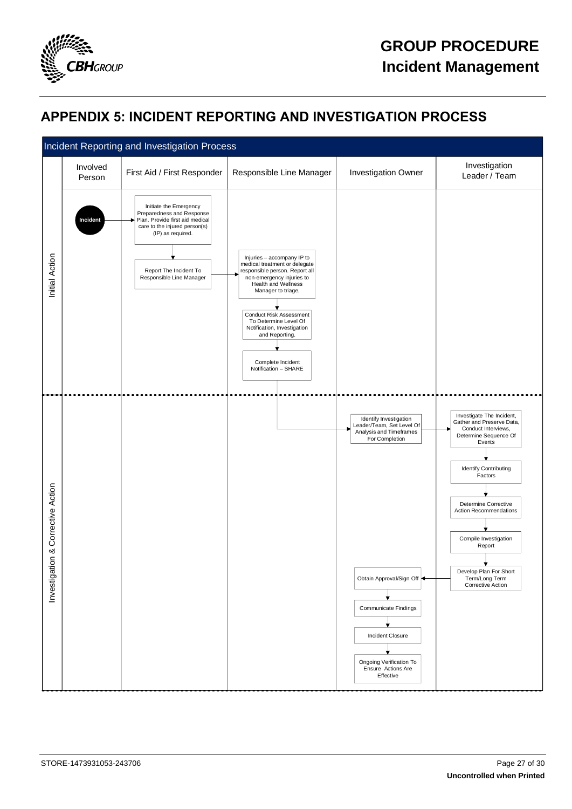

## <span id="page-26-0"></span>**APPENDIX 5: INCIDENT REPORTING AND INVESTIGATION PROCESS**

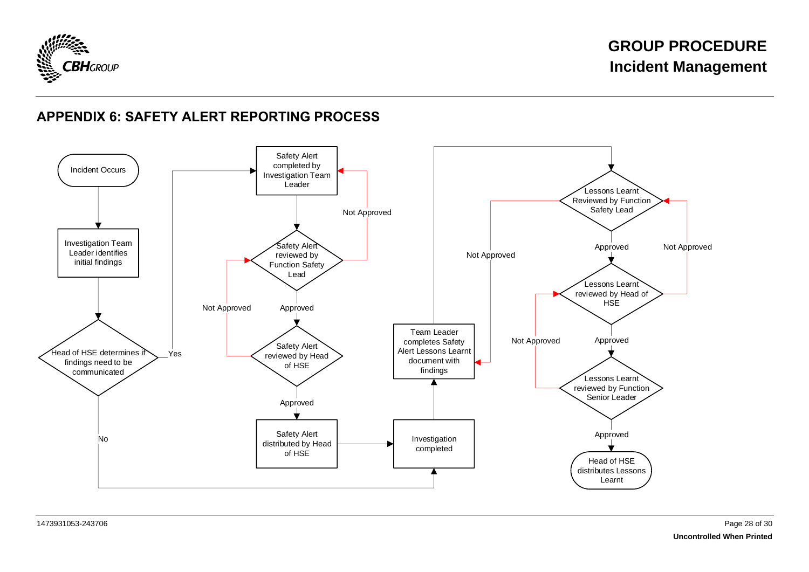

## **APPENDIX 6: SAFETY ALERT REPORTING PROCESS**

<span id="page-27-0"></span>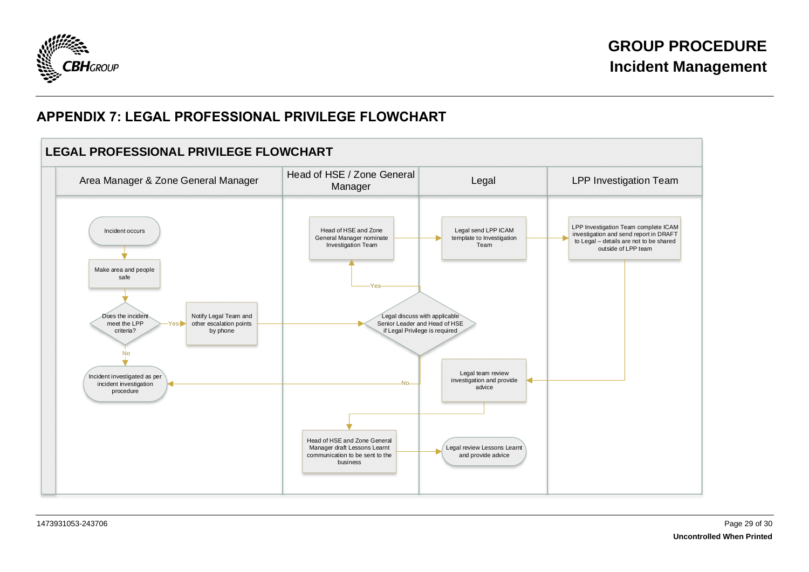

## **APPENDIX 7: LEGAL PROFESSIONAL PRIVILEGE FLOWCHART**

<span id="page-28-0"></span>